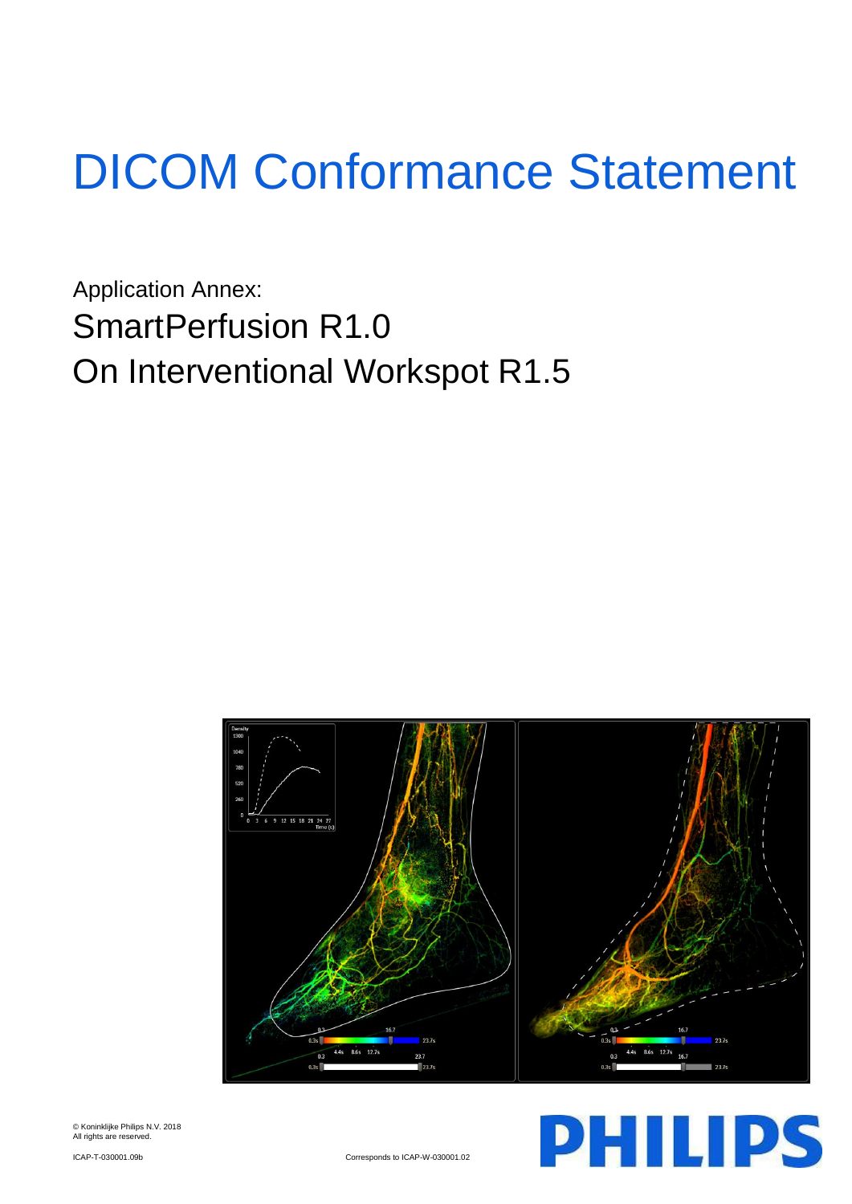# DICOM Conformance Statement

Application Annex: SmartPerfusion R1.0 On Interventional Workspot R1.5





ICAP-T-030001.09b Corresponds to ICAP-W-030001.02

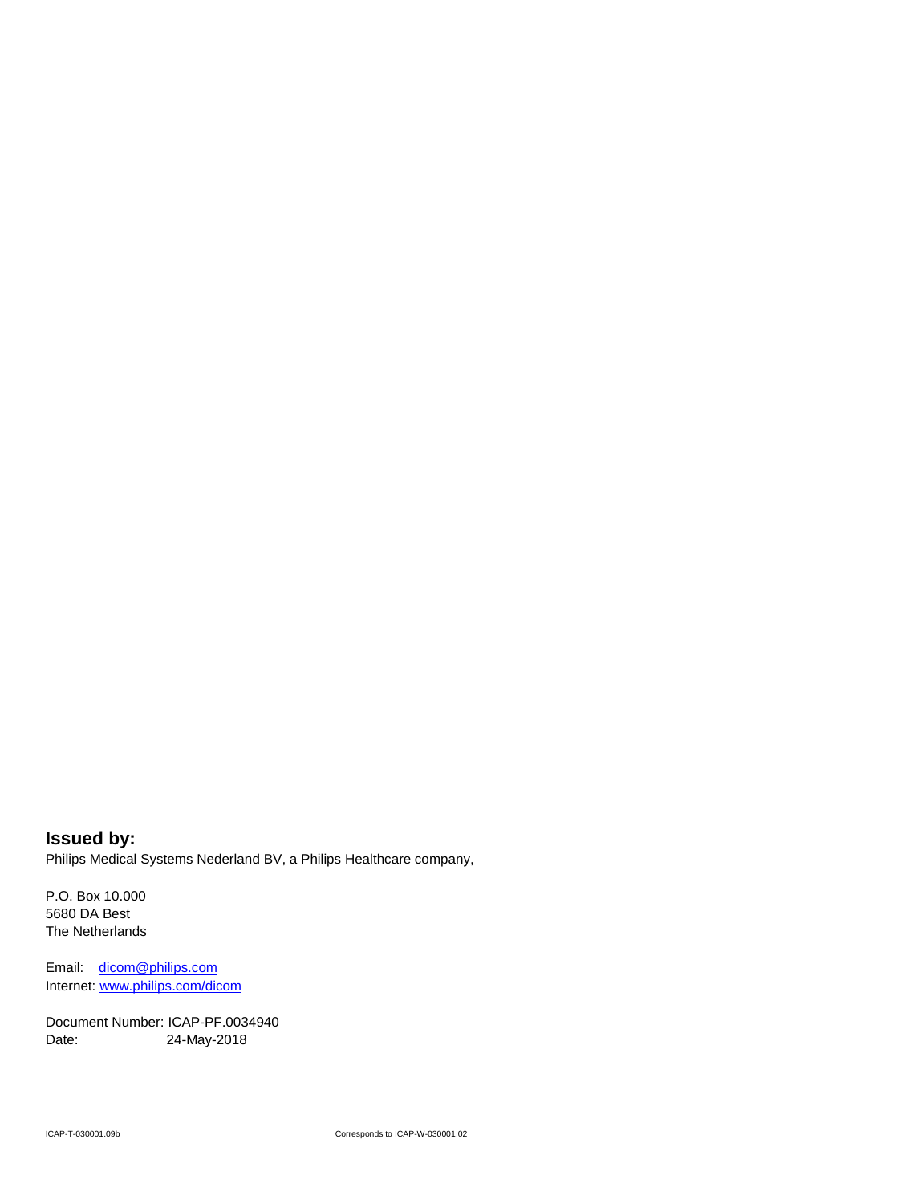**Issued by:** Philips Medical Systems Nederland BV, a Philips Healthcare company,

P.O. Box 10.000 5680 DA Best The Netherlands

Email: [dicom@philips.com](mailto:dicom@philips.com) Internet[: www.philips.com/dicom](http://www.philips.com/dicom)

Document Number: ICAP-PF.0034940 Date: 24-May-2018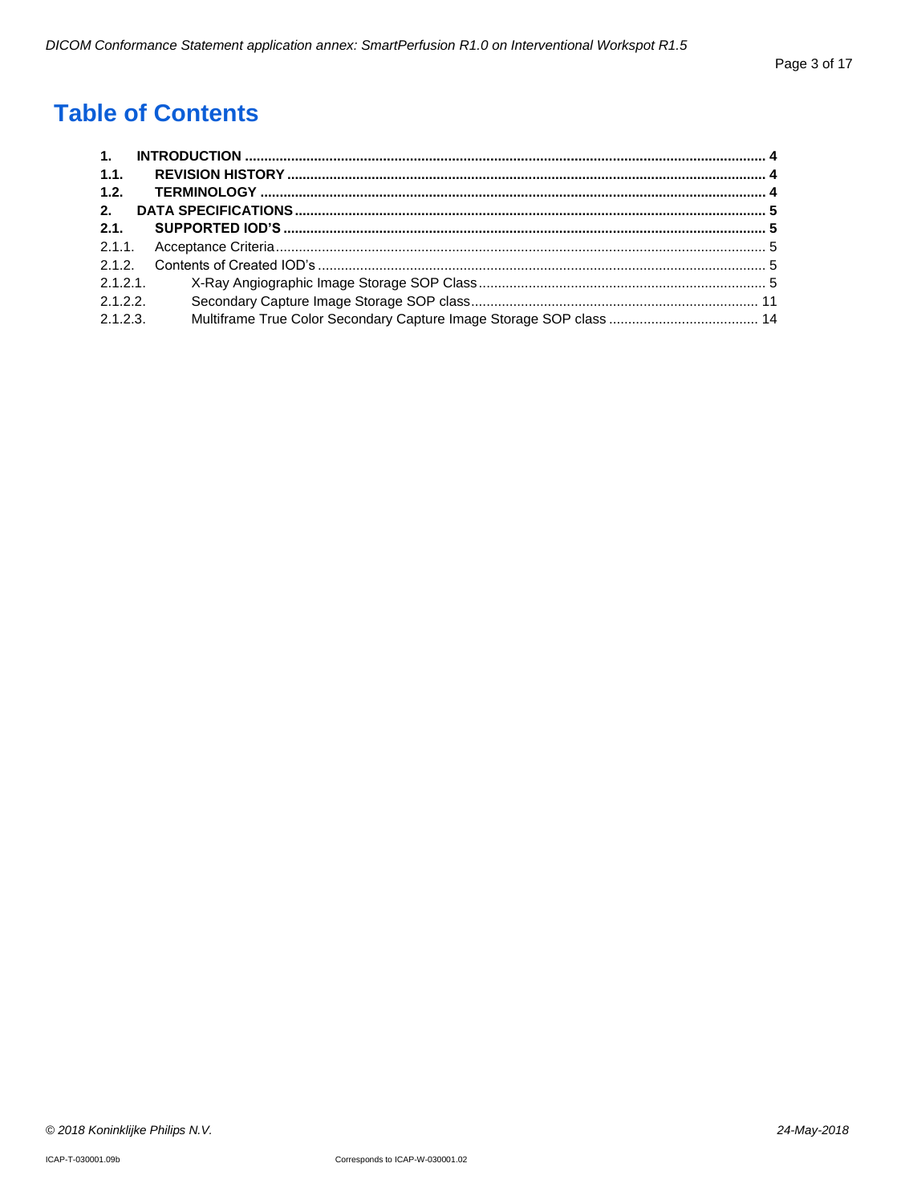# **Table of Contents**

| $\mathbf{1}$ . |  |
|----------------|--|
| 1.1.           |  |
| 1.2.           |  |
| 2.             |  |
| 2.1            |  |
|                |  |
|                |  |
| 2.1.2.1        |  |
| 2.1.2.2        |  |
| 2.1.2.3.       |  |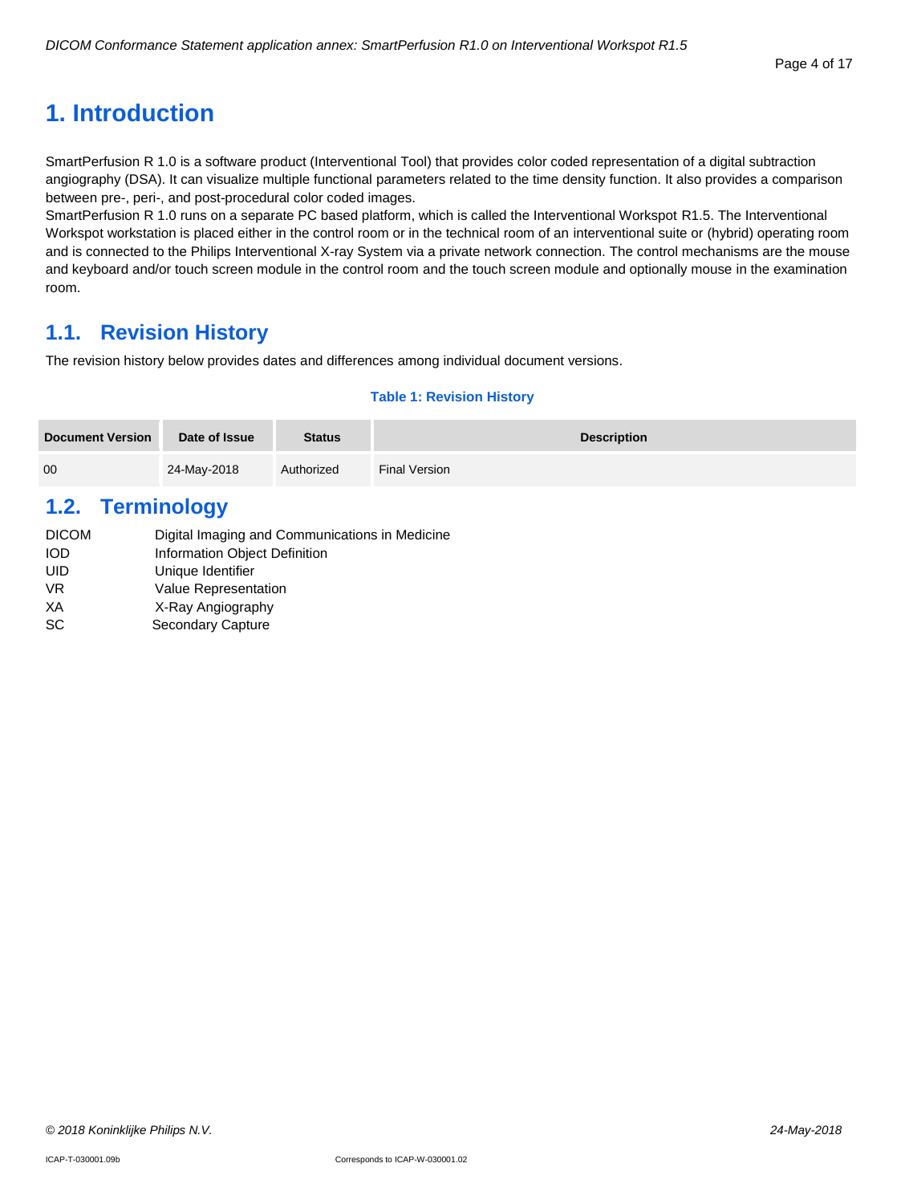## <span id="page-3-0"></span>**1. Introduction**

SmartPerfusion R 1.0 is a software product (Interventional Tool) that provides color coded representation of a digital subtraction angiography (DSA). It can visualize multiple functional parameters related to the time density function. It also provides a comparison between pre-, peri-, and post-procedural color coded images.

SmartPerfusion R 1.0 runs on a separate PC based platform, which is called the Interventional Workspot R1.5. The Interventional Workspot workstation is placed either in the control room or in the technical room of an interventional suite or (hybrid) operating room and is connected to the Philips Interventional X-ray System via a private network connection. The control mechanisms are the mouse and keyboard and/or touch screen module in the control room and the touch screen module and optionally mouse in the examination room.

## <span id="page-3-1"></span>**1.1. Revision History**

The revision history below provides dates and differences among individual document versions.

#### **Table 1: Revision History**

| <b>Document Version</b> | Date of Issue | <b>Status</b> | <b>Description</b>   |
|-------------------------|---------------|---------------|----------------------|
| 00                      | 24-May-2018   | Authorized    | <b>Final Version</b> |

## <span id="page-3-2"></span>**1.2. Terminology**

| <b>DICOM</b> | Digital Imaging and Communications in Medicine |
|--------------|------------------------------------------------|
| <b>IOD</b>   | Information Object Definition                  |
| UID          | Unique Identifier                              |
| VR.          | <b>Value Representation</b>                    |
| XА           | X-Ray Angiography                              |
| <b>SC</b>    | Secondary Capture                              |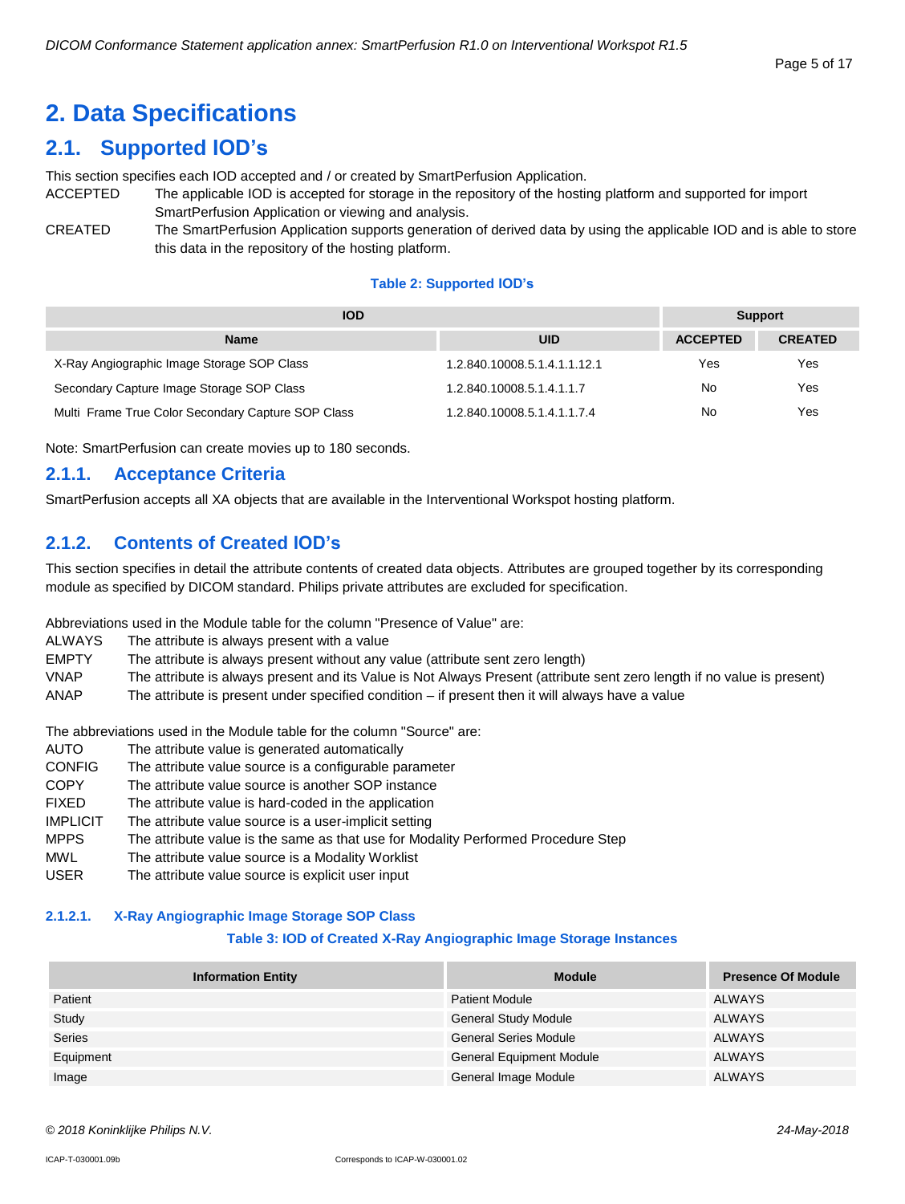# <span id="page-4-0"></span>**2. Data Specifications**

## <span id="page-4-1"></span>**2.1. Supported IOD's**

This section specifies each IOD accepted and / or created by SmartPerfusion Application.

- ACCEPTED The applicable IOD is accepted for storage in the repository of the hosting platform and supported for import SmartPerfusion Application or viewing and analysis.
- CREATED The SmartPerfusion Application supports generation of derived data by using the applicable IOD and is able to store this data in the repository of the hosting platform.

#### **Table 2: Supported IOD's**

| <b>IOD</b>                                         | <b>Support</b>               |                 |                |
|----------------------------------------------------|------------------------------|-----------------|----------------|
| <b>Name</b>                                        | <b>UID</b>                   | <b>ACCEPTED</b> | <b>CREATED</b> |
| X-Ray Angiographic Image Storage SOP Class         | 1.2.840.10008.5.1.4.1.1.12.1 | Yes             | Yes            |
| Secondary Capture Image Storage SOP Class          | 1.2.840.10008.5.1.4.1.1.7    | <b>No</b>       | Yes            |
| Multi Frame True Color Secondary Capture SOP Class | 1.2.840.10008.5.1.4.1.1.7.4  | <b>No</b>       | Yes            |

Note: SmartPerfusion can create movies up to 180 seconds.

#### <span id="page-4-2"></span>**2.1.1. Acceptance Criteria**

SmartPerfusion accepts all XA objects that are available in the Interventional Workspot hosting platform.

#### <span id="page-4-3"></span>**2.1.2. Contents of Created IOD's**

This section specifies in detail the attribute contents of created data objects. Attributes are grouped together by its corresponding module as specified by DICOM standard. Philips private attributes are excluded for specification.

Abbreviations used in the Module table for the column "Presence of Value" are:

| ALWAYS       | The attribute is always present with a value                                                                            |
|--------------|-------------------------------------------------------------------------------------------------------------------------|
| <b>EMPTY</b> | The attribute is always present without any value (attribute sent zero length)                                          |
| <b>VNAP</b>  | The attribute is always present and its Value is Not Always Present (attribute sent zero length if no value is present) |
| ANAP         | The attribute is present under specified condition $-$ if present then it will always have a value                      |

The abbreviations used in the Module table for the column "Source" are:

- AUTO The attribute value is generated automatically
- CONFIG The attribute value source is a configurable parameter
- COPY The attribute value source is another SOP instance
- FIXED The attribute value is hard-coded in the application
- IMPLICIT The attribute value source is a user-implicit setting
- MPPS The attribute value is the same as that use for Modality Performed Procedure Step
- MWL The attribute value source is a Modality Worklist
- USER The attribute value source is explicit user input

#### <span id="page-4-4"></span>**2.1.2.1. X-Ray Angiographic Image Storage SOP Class**

#### **Table 3: IOD of Created X-Ray Angiographic Image Storage Instances**

| <b>Information Entity</b> | <b>Module</b>                   | <b>Presence Of Module</b> |
|---------------------------|---------------------------------|---------------------------|
| Patient                   | <b>Patient Module</b>           | ALWAYS                    |
| Study                     | <b>General Study Module</b>     | ALWAYS                    |
| <b>Series</b>             | <b>General Series Module</b>    | ALWAYS                    |
| Equipment                 | <b>General Equipment Module</b> | <b>ALWAYS</b>             |
| Image                     | General Image Module            | <b>ALWAYS</b>             |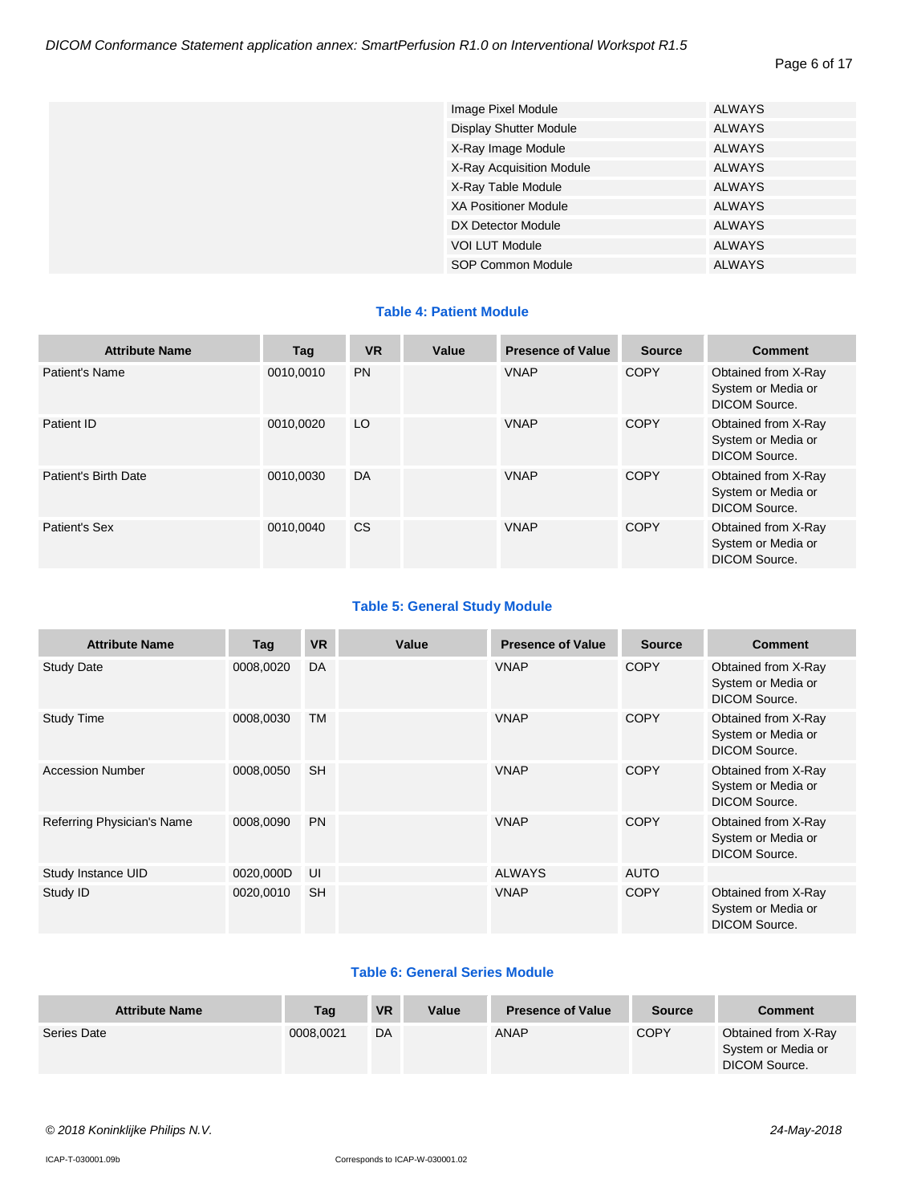Page 6 of 17

| Image Pixel Module            | <b>ALWAYS</b> |
|-------------------------------|---------------|
| <b>Display Shutter Module</b> | <b>ALWAYS</b> |
| X-Ray Image Module            | <b>ALWAYS</b> |
| X-Ray Acquisition Module      | <b>ALWAYS</b> |
| X-Ray Table Module            | <b>ALWAYS</b> |
| <b>XA Positioner Module</b>   | <b>ALWAYS</b> |
| DX Detector Module            | <b>ALWAYS</b> |
| <b>VOI LUT Module</b>         | <b>ALWAYS</b> |
| SOP Common Module             | <b>ALWAYS</b> |

#### **Table 4: Patient Module**

| <b>Attribute Name</b> | Tag       | <b>VR</b> | Value | <b>Presence of Value</b> | <b>Source</b> | <b>Comment</b>                                             |
|-----------------------|-----------|-----------|-------|--------------------------|---------------|------------------------------------------------------------|
| Patient's Name        | 0010.0010 | <b>PN</b> |       | <b>VNAP</b>              | <b>COPY</b>   | Obtained from X-Ray<br>System or Media or<br>DICOM Source. |
| Patient ID            | 0010.0020 | LO        |       | <b>VNAP</b>              | <b>COPY</b>   | Obtained from X-Ray<br>System or Media or<br>DICOM Source. |
| Patient's Birth Date  | 0010.0030 | DA        |       | <b>VNAP</b>              | <b>COPY</b>   | Obtained from X-Ray<br>System or Media or<br>DICOM Source. |
| Patient's Sex         | 0010.0040 | CS.       |       | <b>VNAP</b>              | <b>COPY</b>   | Obtained from X-Ray<br>System or Media or<br>DICOM Source. |

#### **Table 5: General Study Module**

| <b>Attribute Name</b>      | Tag       | <b>VR</b> | Value | <b>Presence of Value</b> | <b>Source</b> | <b>Comment</b>                                                    |
|----------------------------|-----------|-----------|-------|--------------------------|---------------|-------------------------------------------------------------------|
| <b>Study Date</b>          | 0008,0020 | DA        |       | <b>VNAP</b>              | <b>COPY</b>   | Obtained from X-Ray<br>System or Media or<br>DICOM Source.        |
| <b>Study Time</b>          | 0008,0030 | <b>TM</b> |       | <b>VNAP</b>              | <b>COPY</b>   | Obtained from X-Ray<br>System or Media or<br>DICOM Source.        |
| <b>Accession Number</b>    | 0008,0050 | <b>SH</b> |       | <b>VNAP</b>              | <b>COPY</b>   | Obtained from X-Ray<br>System or Media or<br>DICOM Source.        |
| Referring Physician's Name | 0008,0090 | <b>PN</b> |       | <b>VNAP</b>              | <b>COPY</b>   | Obtained from X-Ray<br>System or Media or<br><b>DICOM Source.</b> |
| Study Instance UID         | 0020,000D | UI        |       | <b>ALWAYS</b>            | <b>AUTO</b>   |                                                                   |
| Study ID                   | 0020,0010 | <b>SH</b> |       | <b>VNAP</b>              | <b>COPY</b>   | Obtained from X-Ray<br>System or Media or<br><b>DICOM Source.</b> |

#### **Table 6: General Series Module**

| <b>Attribute Name</b> | Tag       | <b>VR</b> | Value | <b>Presence of Value</b> | <b>Source</b> | Comment                                                    |
|-----------------------|-----------|-----------|-------|--------------------------|---------------|------------------------------------------------------------|
| Series Date           | 0008,0021 | DA        |       | <b>ANAP</b>              | <b>COPY</b>   | Obtained from X-Ray<br>System or Media or<br>DICOM Source. |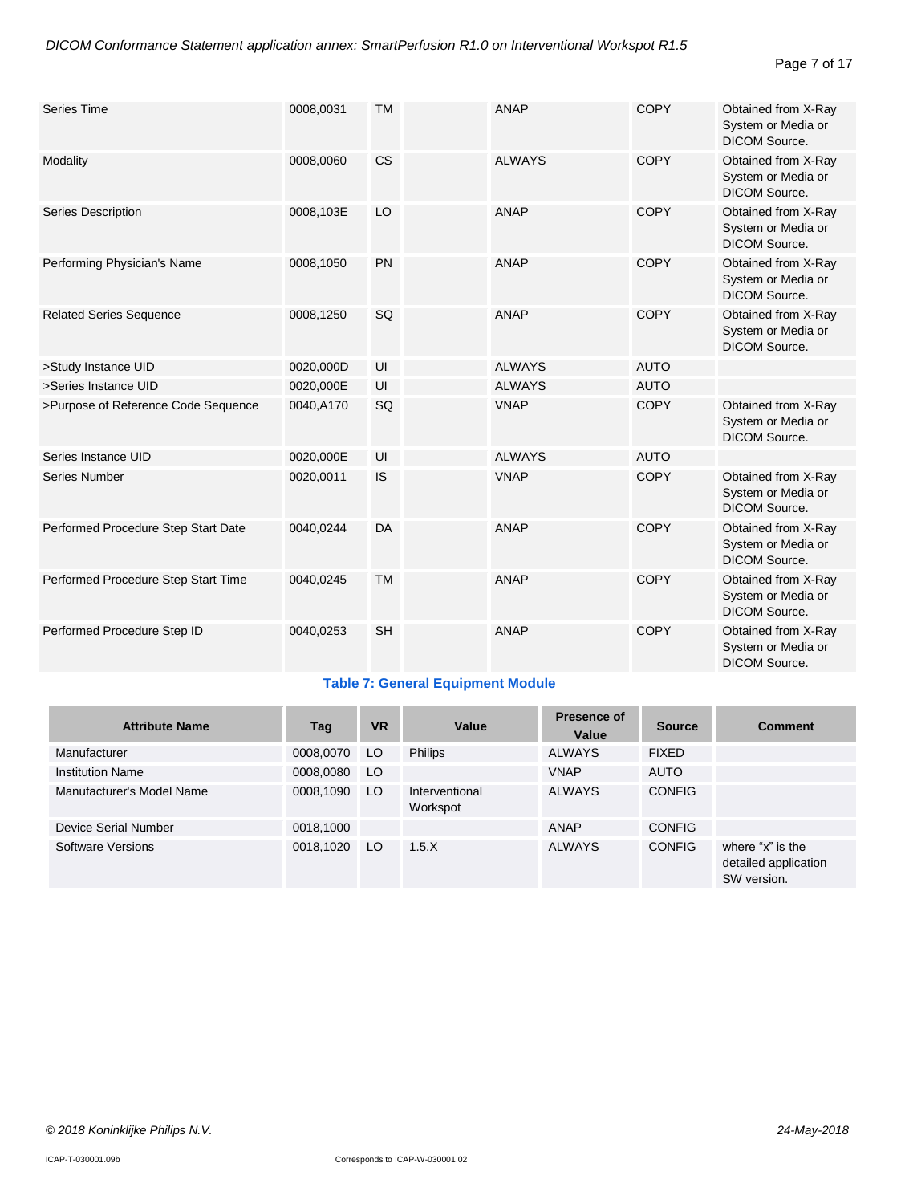#### Page 7 of 17

| <b>Series Time</b>                  | 0008,0031 | <b>TM</b> | ANAP          | <b>COPY</b> | Obtained from X-Ray<br>System or Media or<br><b>DICOM Source.</b> |
|-------------------------------------|-----------|-----------|---------------|-------------|-------------------------------------------------------------------|
| Modality                            | 0008,0060 | <b>CS</b> | <b>ALWAYS</b> | COPY        | Obtained from X-Ray<br>System or Media or<br><b>DICOM Source.</b> |
| Series Description                  | 0008,103E | LO        | <b>ANAP</b>   | <b>COPY</b> | Obtained from X-Ray<br>System or Media or<br>DICOM Source.        |
| Performing Physician's Name         | 0008,1050 | <b>PN</b> | ANAP          | <b>COPY</b> | Obtained from X-Ray<br>System or Media or<br><b>DICOM Source.</b> |
| <b>Related Series Sequence</b>      | 0008,1250 | <b>SQ</b> | <b>ANAP</b>   | <b>COPY</b> | Obtained from X-Ray<br>System or Media or<br><b>DICOM Source.</b> |
| >Study Instance UID                 | 0020,000D | UI        | <b>ALWAYS</b> | <b>AUTO</b> |                                                                   |
| >Series Instance UID                | 0020,000E | UI        | <b>ALWAYS</b> | <b>AUTO</b> |                                                                   |
| >Purpose of Reference Code Sequence | 0040,A170 | SQ        | <b>VNAP</b>   | <b>COPY</b> | Obtained from X-Ray<br>System or Media or<br><b>DICOM Source.</b> |
| Series Instance UID                 | 0020,000E | UI        | <b>ALWAYS</b> | <b>AUTO</b> |                                                                   |
| Series Number                       | 0020,0011 | <b>IS</b> | <b>VNAP</b>   | <b>COPY</b> | Obtained from X-Ray<br>System or Media or<br><b>DICOM Source.</b> |
| Performed Procedure Step Start Date | 0040,0244 | DA        | <b>ANAP</b>   | <b>COPY</b> | Obtained from X-Ray<br>System or Media or<br><b>DICOM Source.</b> |
| Performed Procedure Step Start Time | 0040,0245 | <b>TM</b> | <b>ANAP</b>   | <b>COPY</b> | Obtained from X-Ray<br>System or Media or<br><b>DICOM Source.</b> |
| Performed Procedure Step ID         | 0040,0253 | <b>SH</b> | <b>ANAP</b>   | <b>COPY</b> | Obtained from X-Ray<br>System or Media or<br>DICOM Source.        |

#### **Table 7: General Equipment Module**

| <b>Attribute Name</b>     | Tag       | <b>VR</b> | Value                      | Presence of<br>Value | <b>Source</b> | <b>Comment</b>                                          |
|---------------------------|-----------|-----------|----------------------------|----------------------|---------------|---------------------------------------------------------|
| Manufacturer              | 0008,0070 | LO.       | <b>Philips</b>             | <b>ALWAYS</b>        | <b>FIXED</b>  |                                                         |
| <b>Institution Name</b>   | 0008,0080 | LO        |                            | <b>VNAP</b>          | <b>AUTO</b>   |                                                         |
| Manufacturer's Model Name | 0008,1090 | LO.       | Interventional<br>Workspot | <b>ALWAYS</b>        | <b>CONFIG</b> |                                                         |
| Device Serial Number      | 0018,1000 |           |                            | ANAP                 | <b>CONFIG</b> |                                                         |
| Software Versions         | 0018,1020 | LO.       | 1.5.X                      | <b>ALWAYS</b>        | <b>CONFIG</b> | where "x" is the<br>detailed application<br>SW version. |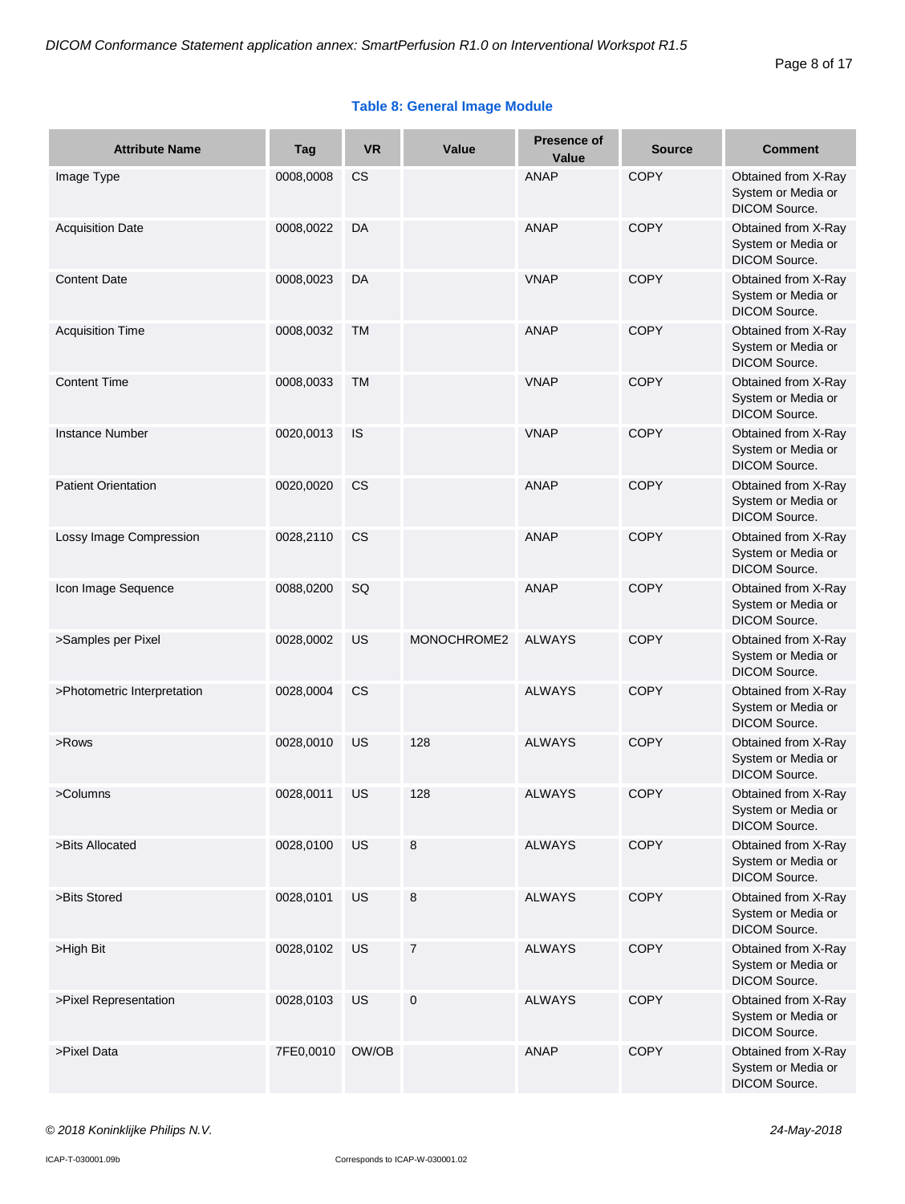#### **Table 8: General Image Module**

| <b>Attribute Name</b>       | Tag       | <b>VR</b> | Value          | <b>Presence of</b><br>Value | <b>Source</b> | <b>Comment</b>                                                    |
|-----------------------------|-----------|-----------|----------------|-----------------------------|---------------|-------------------------------------------------------------------|
| Image Type                  | 0008,0008 | <b>CS</b> |                | <b>ANAP</b>                 | <b>COPY</b>   | Obtained from X-Ray<br>System or Media or<br>DICOM Source.        |
| <b>Acquisition Date</b>     | 0008,0022 | DA        |                | <b>ANAP</b>                 | <b>COPY</b>   | Obtained from X-Ray<br>System or Media or<br>DICOM Source.        |
| <b>Content Date</b>         | 0008,0023 | DA        |                | <b>VNAP</b>                 | <b>COPY</b>   | Obtained from X-Ray<br>System or Media or<br>DICOM Source.        |
| <b>Acquisition Time</b>     | 0008,0032 | <b>TM</b> |                | <b>ANAP</b>                 | COPY          | Obtained from X-Ray<br>System or Media or<br><b>DICOM Source.</b> |
| <b>Content Time</b>         | 0008,0033 | <b>TM</b> |                | <b>VNAP</b>                 | <b>COPY</b>   | Obtained from X-Ray<br>System or Media or<br>DICOM Source.        |
| <b>Instance Number</b>      | 0020,0013 | IS        |                | <b>VNAP</b>                 | <b>COPY</b>   | Obtained from X-Ray<br>System or Media or<br>DICOM Source.        |
| <b>Patient Orientation</b>  | 0020,0020 | CS        |                | <b>ANAP</b>                 | <b>COPY</b>   | Obtained from X-Ray<br>System or Media or<br>DICOM Source.        |
| Lossy Image Compression     | 0028,2110 | <b>CS</b> |                | <b>ANAP</b>                 | <b>COPY</b>   | Obtained from X-Ray<br>System or Media or<br>DICOM Source.        |
| Icon Image Sequence         | 0088,0200 | SQ        |                | <b>ANAP</b>                 | <b>COPY</b>   | Obtained from X-Ray<br>System or Media or<br>DICOM Source.        |
| >Samples per Pixel          | 0028,0002 | US        | MONOCHROME2    | <b>ALWAYS</b>               | <b>COPY</b>   | Obtained from X-Ray<br>System or Media or<br>DICOM Source.        |
| >Photometric Interpretation | 0028,0004 | CS        |                | <b>ALWAYS</b>               | <b>COPY</b>   | Obtained from X-Ray<br>System or Media or<br><b>DICOM Source.</b> |
| >Rows                       | 0028,0010 | US        | 128            | <b>ALWAYS</b>               | <b>COPY</b>   | Obtained from X-Ray<br>System or Media or<br>DICOM Source.        |
| >Columns                    | 0028,0011 | US        | 128            | <b>ALWAYS</b>               | <b>COPY</b>   | Obtained from X-Ray<br>System or Media or<br>DICOM Source.        |
| >Bits Allocated             | 0028,0100 | US        | 8              | <b>ALWAYS</b>               | <b>COPY</b>   | Obtained from X-Ray<br>System or Media or<br>DICOM Source.        |
| >Bits Stored                | 0028,0101 | US        | $\bf 8$        | <b>ALWAYS</b>               | <b>COPY</b>   | Obtained from X-Ray<br>System or Media or<br>DICOM Source.        |
| >High Bit                   | 0028,0102 | US        | $\overline{7}$ | <b>ALWAYS</b>               | <b>COPY</b>   | Obtained from X-Ray<br>System or Media or<br>DICOM Source.        |
| >Pixel Representation       | 0028,0103 | US        | $\mathbf 0$    | <b>ALWAYS</b>               | <b>COPY</b>   | Obtained from X-Ray<br>System or Media or<br>DICOM Source.        |
| >Pixel Data                 | 7FE0,0010 | OW/OB     |                | <b>ANAP</b>                 | <b>COPY</b>   | Obtained from X-Ray<br>System or Media or<br>DICOM Source.        |

#### *© 2018 Koninklijke Philips N.V. 24-May-2018*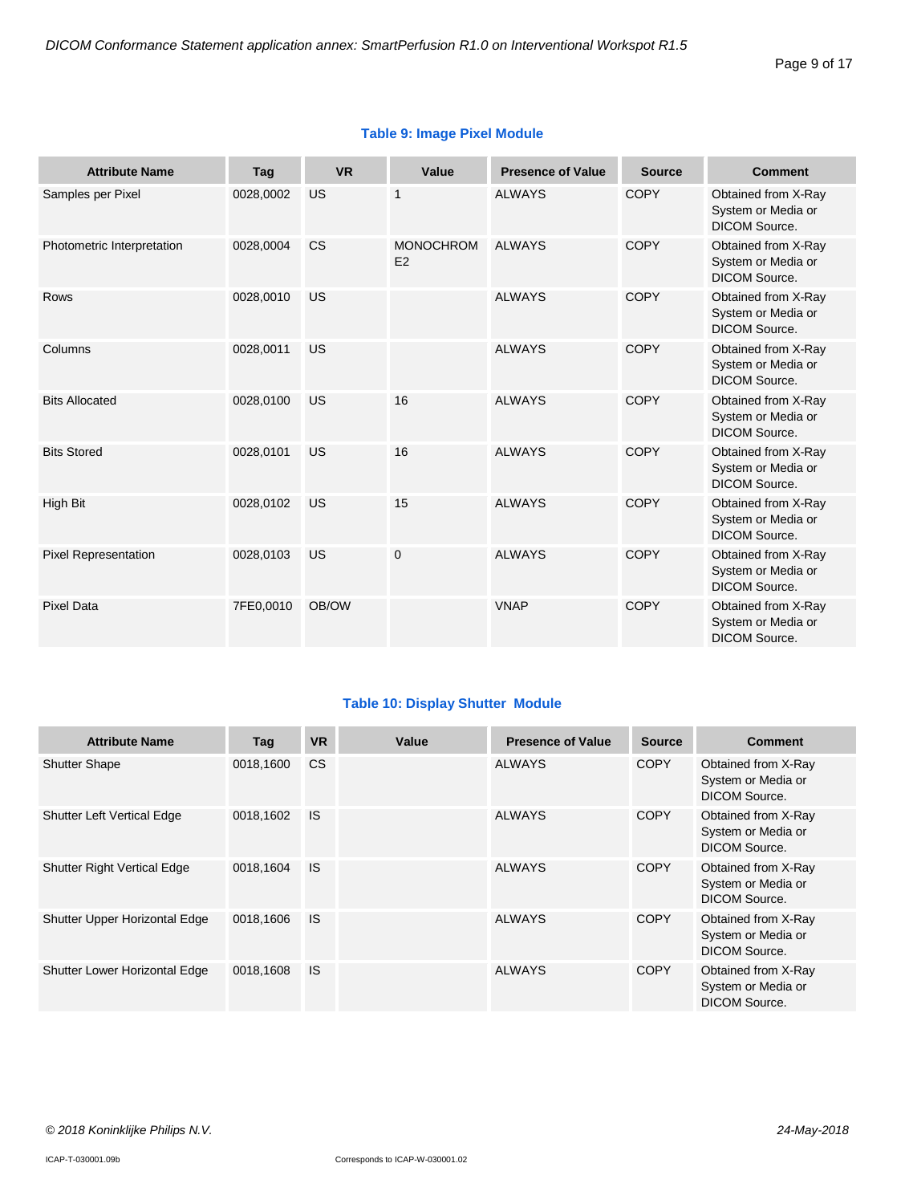| <b>Attribute Name</b>       | Tag       | <b>VR</b> | Value                  | <b>Presence of Value</b> | <b>Source</b> | <b>Comment</b>                                                    |
|-----------------------------|-----------|-----------|------------------------|--------------------------|---------------|-------------------------------------------------------------------|
| Samples per Pixel           | 0028,0002 | US        | 1                      | <b>ALWAYS</b>            | <b>COPY</b>   | Obtained from X-Ray<br>System or Media or<br><b>DICOM Source.</b> |
| Photometric Interpretation  | 0028,0004 | <b>CS</b> | <b>MONOCHROM</b><br>E2 | <b>ALWAYS</b>            | COPY          | Obtained from X-Ray<br>System or Media or<br><b>DICOM Source.</b> |
| <b>Rows</b>                 | 0028,0010 | US        |                        | <b>ALWAYS</b>            | <b>COPY</b>   | Obtained from X-Ray<br>System or Media or<br><b>DICOM Source.</b> |
| Columns                     | 0028,0011 | US        |                        | <b>ALWAYS</b>            | <b>COPY</b>   | Obtained from X-Ray<br>System or Media or<br><b>DICOM Source.</b> |
| <b>Bits Allocated</b>       | 0028,0100 | US        | 16                     | <b>ALWAYS</b>            | <b>COPY</b>   | Obtained from X-Ray<br>System or Media or<br><b>DICOM Source.</b> |
| <b>Bits Stored</b>          | 0028,0101 | US        | 16                     | <b>ALWAYS</b>            | <b>COPY</b>   | Obtained from X-Ray<br>System or Media or<br><b>DICOM Source.</b> |
| <b>High Bit</b>             | 0028,0102 | US        | 15                     | <b>ALWAYS</b>            | <b>COPY</b>   | Obtained from X-Ray<br>System or Media or<br><b>DICOM Source.</b> |
| <b>Pixel Representation</b> | 0028,0103 | US        | $\overline{0}$         | <b>ALWAYS</b>            | <b>COPY</b>   | Obtained from X-Ray<br>System or Media or<br><b>DICOM Source.</b> |
| <b>Pixel Data</b>           | 7FE0,0010 | OB/OW     |                        | <b>VNAP</b>              | <b>COPY</b>   | Obtained from X-Ray<br>System or Media or<br><b>DICOM Source.</b> |

#### **Table 9: Image Pixel Module**

#### **Table 10: Display Shutter Module**

| <b>Attribute Name</b>              | Tag       | <b>VR</b>     | Value | <b>Presence of Value</b> | <b>Source</b> | <b>Comment</b>                                             |
|------------------------------------|-----------|---------------|-------|--------------------------|---------------|------------------------------------------------------------|
| <b>Shutter Shape</b>               | 0018.1600 | <sub>CS</sub> |       | <b>ALWAYS</b>            | <b>COPY</b>   | Obtained from X-Ray<br>System or Media or<br>DICOM Source. |
| <b>Shutter Left Vertical Edge</b>  | 0018.1602 | <b>IS</b>     |       | <b>ALWAYS</b>            | <b>COPY</b>   | Obtained from X-Ray<br>System or Media or<br>DICOM Source. |
| <b>Shutter Right Vertical Edge</b> | 0018,1604 | IS            |       | <b>ALWAYS</b>            | <b>COPY</b>   | Obtained from X-Ray<br>System or Media or<br>DICOM Source. |
| Shutter Upper Horizontal Edge      | 0018.1606 | <b>IS</b>     |       | <b>ALWAYS</b>            | <b>COPY</b>   | Obtained from X-Ray<br>System or Media or<br>DICOM Source. |
| Shutter Lower Horizontal Edge      | 0018.1608 | <b>IS</b>     |       | <b>ALWAYS</b>            | <b>COPY</b>   | Obtained from X-Ray<br>System or Media or<br>DICOM Source. |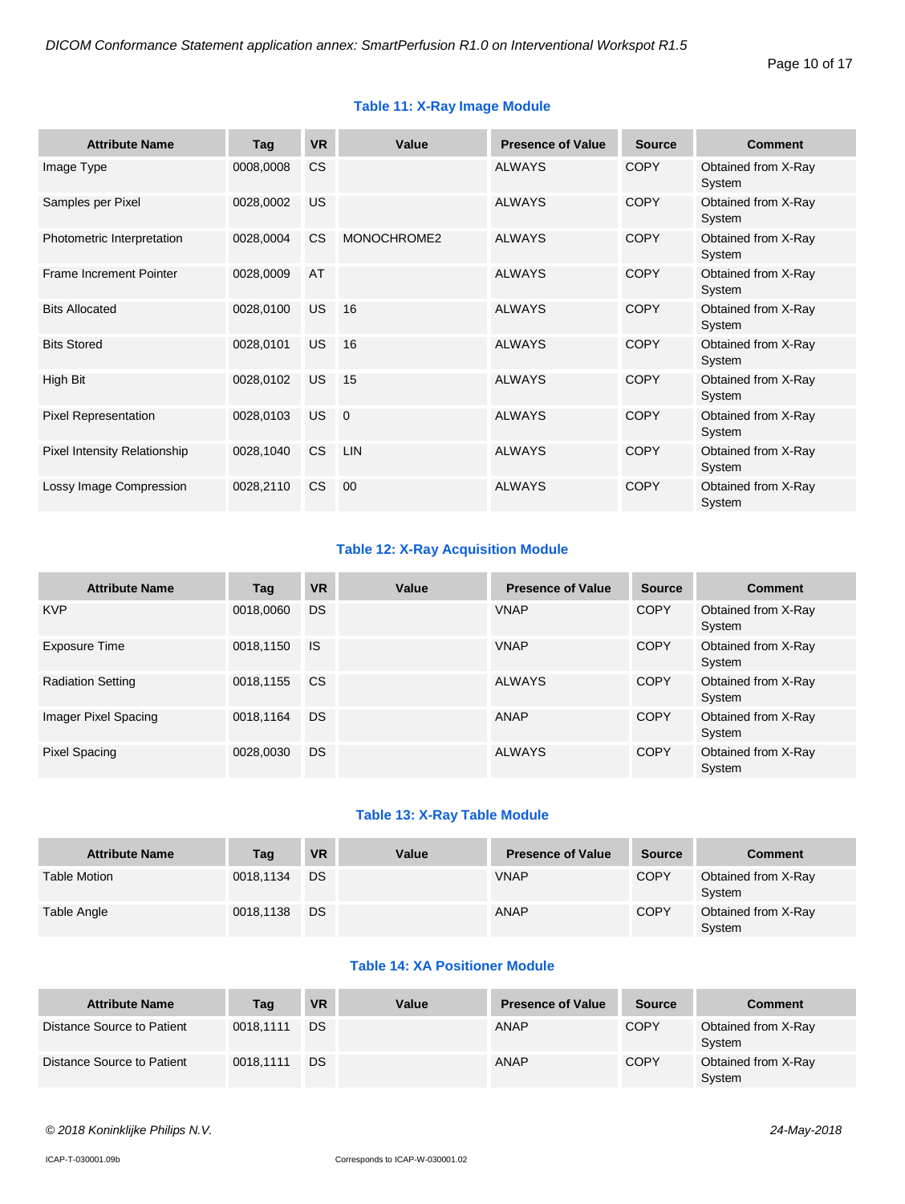| <b>Attribute Name</b>               | Tag       | <b>VR</b> | Value          | <b>Presence of Value</b> | <b>Source</b> | <b>Comment</b>                |
|-------------------------------------|-----------|-----------|----------------|--------------------------|---------------|-------------------------------|
| Image Type                          | 0008,0008 | <b>CS</b> |                | <b>ALWAYS</b>            | <b>COPY</b>   | Obtained from X-Ray<br>System |
| Samples per Pixel                   | 0028,0002 | <b>US</b> |                | <b>ALWAYS</b>            | <b>COPY</b>   | Obtained from X-Ray<br>System |
| Photometric Interpretation          | 0028,0004 | <b>CS</b> | MONOCHROME2    | <b>ALWAYS</b>            | <b>COPY</b>   | Obtained from X-Ray<br>System |
| <b>Frame Increment Pointer</b>      | 0028,0009 | AT        |                | <b>ALWAYS</b>            | <b>COPY</b>   | Obtained from X-Ray<br>System |
| <b>Bits Allocated</b>               | 0028,0100 | <b>US</b> | 16             | <b>ALWAYS</b>            | <b>COPY</b>   | Obtained from X-Ray<br>System |
| <b>Bits Stored</b>                  | 0028,0101 | <b>US</b> | 16             | <b>ALWAYS</b>            | <b>COPY</b>   | Obtained from X-Ray<br>System |
| High Bit                            | 0028,0102 | <b>US</b> | 15             | <b>ALWAYS</b>            | <b>COPY</b>   | Obtained from X-Ray<br>System |
| <b>Pixel Representation</b>         | 0028,0103 | <b>US</b> | $\overline{0}$ | <b>ALWAYS</b>            | <b>COPY</b>   | Obtained from X-Ray<br>System |
| <b>Pixel Intensity Relationship</b> | 0028,1040 | <b>CS</b> | <b>LIN</b>     | <b>ALWAYS</b>            | <b>COPY</b>   | Obtained from X-Ray<br>System |
| Lossy Image Compression             | 0028,2110 | <b>CS</b> | 00             | <b>ALWAYS</b>            | <b>COPY</b>   | Obtained from X-Ray<br>System |

#### **Table 11: X-Ray Image Module**

#### **Table 12: X-Ray Acquisition Module**

| <b>Attribute Name</b>    | Tag       | <b>VR</b> | Value | <b>Presence of Value</b> | <b>Source</b> | <b>Comment</b>                |
|--------------------------|-----------|-----------|-------|--------------------------|---------------|-------------------------------|
| <b>KVP</b>               | 0018,0060 | DS        |       | <b>VNAP</b>              | <b>COPY</b>   | Obtained from X-Ray<br>System |
| Exposure Time            | 0018,1150 | <b>IS</b> |       | <b>VNAP</b>              | <b>COPY</b>   | Obtained from X-Ray<br>System |
| <b>Radiation Setting</b> | 0018,1155 | <b>CS</b> |       | <b>ALWAYS</b>            | COPY          | Obtained from X-Ray<br>System |
| Imager Pixel Spacing     | 0018,1164 | DS        |       | ANAP                     | <b>COPY</b>   | Obtained from X-Ray<br>System |
| Pixel Spacing            | 0028,0030 | DS        |       | <b>ALWAYS</b>            | <b>COPY</b>   | Obtained from X-Ray<br>System |

#### **Table 13: X-Ray Table Module**

| <b>Attribute Name</b> | Tag       | <b>VR</b> | Value | <b>Presence of Value</b> | <b>Source</b> | <b>Comment</b>                |
|-----------------------|-----------|-----------|-------|--------------------------|---------------|-------------------------------|
| <b>Table Motion</b>   | 0018.1134 | DS.       |       | <b>VNAP</b>              | <b>COPY</b>   | Obtained from X-Ray<br>System |
| Table Angle           | 0018,1138 | DS.       |       | ANAP                     | <b>COPY</b>   | Obtained from X-Ray<br>System |

#### **Table 14: XA Positioner Module**

| <b>Attribute Name</b>      | Tag       | <b>VR</b> | Value | <b>Presence of Value</b> | <b>Source</b> | <b>Comment</b>                |
|----------------------------|-----------|-----------|-------|--------------------------|---------------|-------------------------------|
| Distance Source to Patient | 0018.1111 | DS        |       | ANAP                     | <b>COPY</b>   | Obtained from X-Ray<br>System |
| Distance Source to Patient | 0018.1111 | DS        |       | <b>ANAP</b>              | <b>COPY</b>   | Obtained from X-Ray<br>System |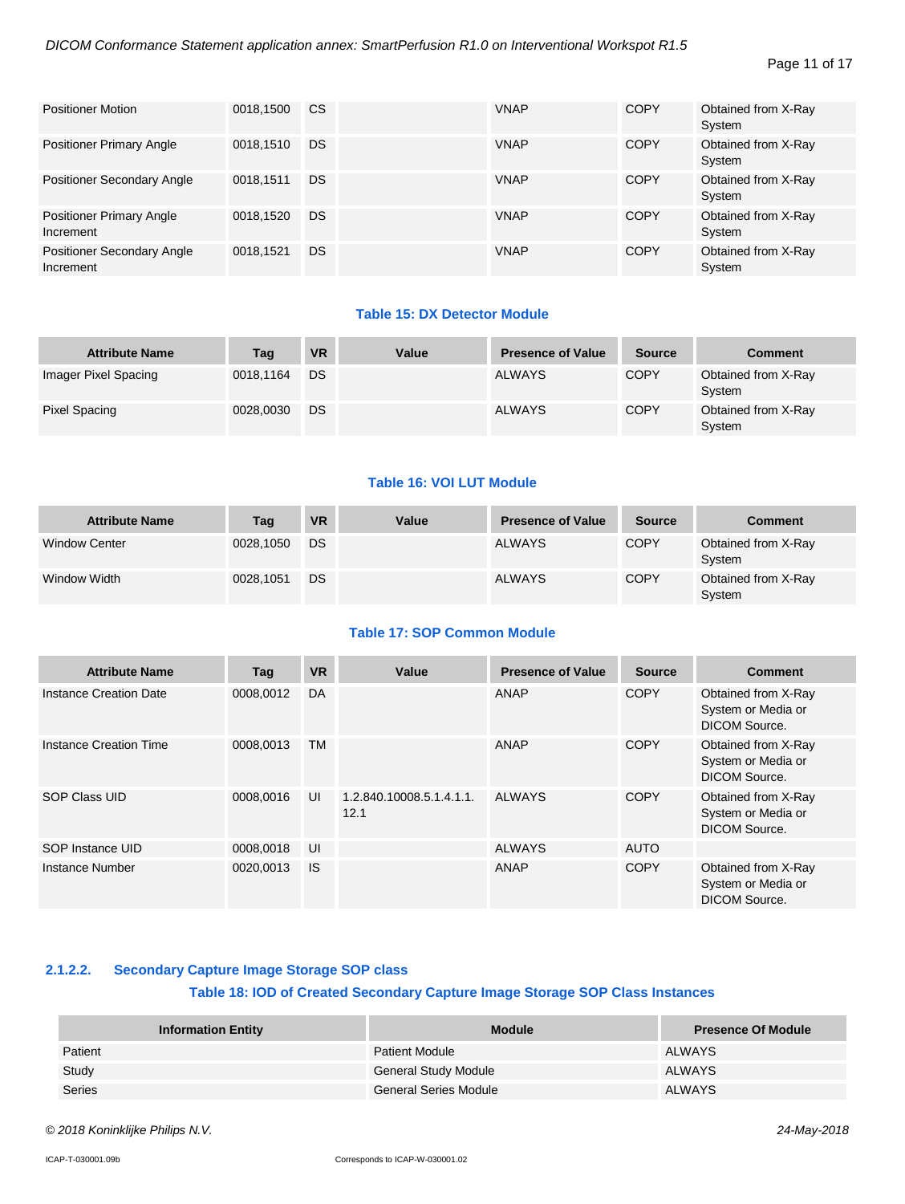#### Page 11 of 17

| <b>Positioner Motion</b>                       | 0018.1500 | <b>CS</b> | <b>VNAP</b> | <b>COPY</b> | Obtained from X-Ray<br>System |
|------------------------------------------------|-----------|-----------|-------------|-------------|-------------------------------|
| <b>Positioner Primary Angle</b>                | 0018.1510 | <b>DS</b> | <b>VNAP</b> | <b>COPY</b> | Obtained from X-Ray<br>System |
| <b>Positioner Secondary Angle</b>              | 0018.1511 | DS        | <b>VNAP</b> | <b>COPY</b> | Obtained from X-Ray<br>System |
| <b>Positioner Primary Angle</b><br>Increment   | 0018.1520 | DS        | <b>VNAP</b> | <b>COPY</b> | Obtained from X-Ray<br>System |
| <b>Positioner Secondary Angle</b><br>Increment | 0018.1521 | DS        | <b>VNAP</b> | <b>COPY</b> | Obtained from X-Ray<br>System |

#### **Table 15: DX Detector Module**

| <b>Attribute Name</b> | Tag       | <b>VR</b> | Value | <b>Presence of Value</b> | <b>Source</b> | <b>Comment</b>                |
|-----------------------|-----------|-----------|-------|--------------------------|---------------|-------------------------------|
| Imager Pixel Spacing  | 0018,1164 | DS        |       | <b>ALWAYS</b>            | <b>COPY</b>   | Obtained from X-Ray<br>System |
| <b>Pixel Spacing</b>  | 0028.0030 | DS        |       | <b>ALWAYS</b>            | <b>COPY</b>   | Obtained from X-Ray<br>System |

#### **Table 16: VOI LUT Module**

| <b>Attribute Name</b> | Tag       | <b>VR</b> | Value | <b>Presence of Value</b> | <b>Source</b> | <b>Comment</b>                |
|-----------------------|-----------|-----------|-------|--------------------------|---------------|-------------------------------|
| <b>Window Center</b>  | 0028.1050 | DS        |       | <b>ALWAYS</b>            | <b>COPY</b>   | Obtained from X-Ray<br>System |
| Window Width          | 0028.1051 | DS        |       | <b>ALWAYS</b>            | <b>COPY</b>   | Obtained from X-Ray<br>System |

#### **Table 17: SOP Common Module**

| <b>Attribute Name</b>         | Tag       | <b>VR</b> | Value                            | <b>Presence of Value</b> | <b>Source</b> | <b>Comment</b>                                                    |
|-------------------------------|-----------|-----------|----------------------------------|--------------------------|---------------|-------------------------------------------------------------------|
| Instance Creation Date        | 0008.0012 | DA        |                                  | ANAP                     | <b>COPY</b>   | Obtained from X-Ray<br>System or Media or<br>DICOM Source.        |
| <b>Instance Creation Time</b> | 0008.0013 | TM        |                                  | ANAP                     | <b>COPY</b>   | Obtained from X-Ray<br>System or Media or<br>DICOM Source.        |
| SOP Class UID                 | 0008,0016 | UI        | 1.2.840.10008.5.1.4.1.1.<br>12.1 | <b>ALWAYS</b>            | <b>COPY</b>   | Obtained from X-Ray<br>System or Media or<br><b>DICOM Source.</b> |
| SOP Instance UID              | 0008,0018 | UI        |                                  | <b>ALWAYS</b>            | <b>AUTO</b>   |                                                                   |
| Instance Number               | 0020.0013 | <b>IS</b> |                                  | ANAP                     | <b>COPY</b>   | Obtained from X-Ray<br>System or Media or<br>DICOM Source.        |

#### <span id="page-10-0"></span>**2.1.2.2. Secondary Capture Image Storage SOP class**

#### **Table 18: IOD of Created Secondary Capture Image Storage SOP Class Instances**

| <b>Information Entity</b> | <b>Module</b>               | <b>Presence Of Module</b> |
|---------------------------|-----------------------------|---------------------------|
| Patient                   | <b>Patient Module</b>       | ALWAYS                    |
| Study                     | <b>General Study Module</b> | ALWAYS                    |
| Series                    | General Series Module       | <b>ALWAYS</b>             |

*© 2018 Koninklijke Philips N.V. 24-May-2018*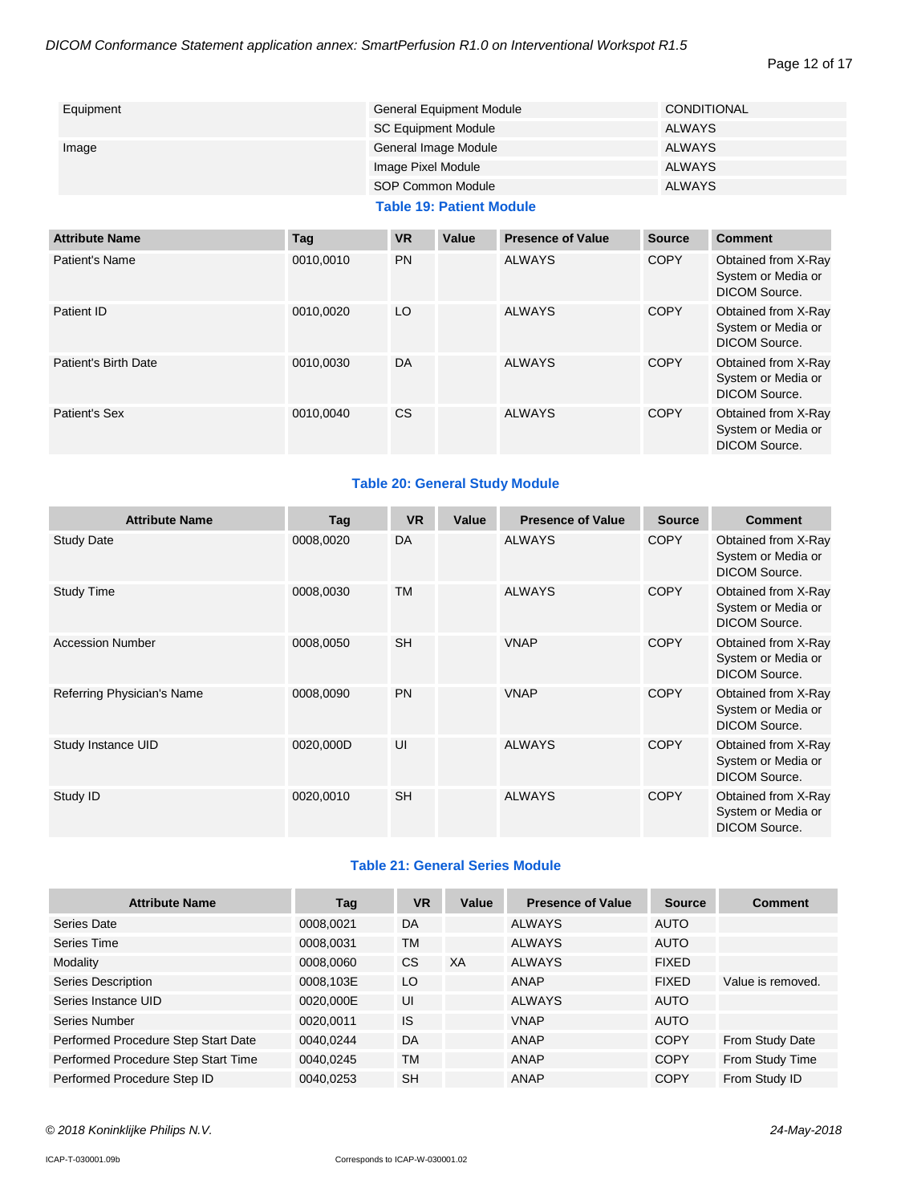#### Page 12 of 17

| Equipment | <b>General Equipment Module</b> | CONDITIONAL   |
|-----------|---------------------------------|---------------|
|           | <b>SC Equipment Module</b>      | ALWAYS        |
| Image     | General Image Module            | <b>ALWAYS</b> |
|           | Image Pixel Module              | <b>ALWAYS</b> |
|           | SOP Common Module               | <b>ALWAYS</b> |

#### **Table 19: Patient Module**

| <b>Attribute Name</b> | Tag       | <b>VR</b> | Value | <b>Presence of Value</b> | <b>Source</b> | <b>Comment</b>                                                    |
|-----------------------|-----------|-----------|-------|--------------------------|---------------|-------------------------------------------------------------------|
| Patient's Name        | 0010,0010 | <b>PN</b> |       | <b>ALWAYS</b>            | <b>COPY</b>   | Obtained from X-Ray<br>System or Media or<br>DICOM Source.        |
| Patient ID            | 0010,0020 | LO        |       | <b>ALWAYS</b>            | <b>COPY</b>   | Obtained from X-Ray<br>System or Media or<br><b>DICOM Source.</b> |
| Patient's Birth Date  | 0010.0030 | DA        |       | <b>ALWAYS</b>            | <b>COPY</b>   | Obtained from X-Ray<br>System or Media or<br><b>DICOM Source.</b> |
| Patient's Sex         | 0010,0040 | <b>CS</b> |       | <b>ALWAYS</b>            | <b>COPY</b>   | Obtained from X-Ray<br>System or Media or<br>DICOM Source.        |

#### **Table 20: General Study Module**

| <b>Attribute Name</b>      | Tag       | <b>VR</b> | Value | <b>Presence of Value</b> | <b>Source</b> | <b>Comment</b>                                                    |
|----------------------------|-----------|-----------|-------|--------------------------|---------------|-------------------------------------------------------------------|
| <b>Study Date</b>          | 0008,0020 | DA        |       | <b>ALWAYS</b>            | <b>COPY</b>   | Obtained from X-Ray<br>System or Media or<br><b>DICOM Source.</b> |
| <b>Study Time</b>          | 0008,0030 | <b>TM</b> |       | <b>ALWAYS</b>            | <b>COPY</b>   | Obtained from X-Ray<br>System or Media or<br>DICOM Source.        |
| <b>Accession Number</b>    | 0008,0050 | <b>SH</b> |       | <b>VNAP</b>              | <b>COPY</b>   | Obtained from X-Ray<br>System or Media or<br>DICOM Source.        |
| Referring Physician's Name | 0008,0090 | <b>PN</b> |       | <b>VNAP</b>              | <b>COPY</b>   | Obtained from X-Ray<br>System or Media or<br><b>DICOM Source.</b> |
| Study Instance UID         | 0020,000D | UI        |       | <b>ALWAYS</b>            | <b>COPY</b>   | Obtained from X-Ray<br>System or Media or<br><b>DICOM Source.</b> |
| Study ID                   | 0020,0010 | <b>SH</b> |       | <b>ALWAYS</b>            | <b>COPY</b>   | Obtained from X-Ray<br>System or Media or<br><b>DICOM Source.</b> |

#### **Table 21: General Series Module**

| <b>Attribute Name</b>               | Tag       | <b>VR</b> | Value | <b>Presence of Value</b> | <b>Source</b> | <b>Comment</b>    |
|-------------------------------------|-----------|-----------|-------|--------------------------|---------------|-------------------|
| Series Date                         | 0008,0021 | DA        |       | <b>ALWAYS</b>            | <b>AUTO</b>   |                   |
| Series Time                         | 0008,0031 | <b>TM</b> |       | <b>ALWAYS</b>            | <b>AUTO</b>   |                   |
| Modality                            | 0008,0060 | <b>CS</b> | XA    | <b>ALWAYS</b>            | <b>FIXED</b>  |                   |
| <b>Series Description</b>           | 0008,103E | LO        |       | ANAP                     | <b>FIXED</b>  | Value is removed. |
| Series Instance UID                 | 0020,000E | UI        |       | <b>ALWAYS</b>            | <b>AUTO</b>   |                   |
| Series Number                       | 0020.0011 | <b>IS</b> |       | <b>VNAP</b>              | <b>AUTO</b>   |                   |
| Performed Procedure Step Start Date | 0040.0244 | DA        |       | ANAP                     | <b>COPY</b>   | From Study Date   |
| Performed Procedure Step Start Time | 0040,0245 | <b>TM</b> |       | ANAP                     | <b>COPY</b>   | From Study Time   |
| Performed Procedure Step ID         | 0040,0253 | <b>SH</b> |       | <b>ANAP</b>              | <b>COPY</b>   | From Study ID     |

*© 2018 Koninklijke Philips N.V. 24-May-2018*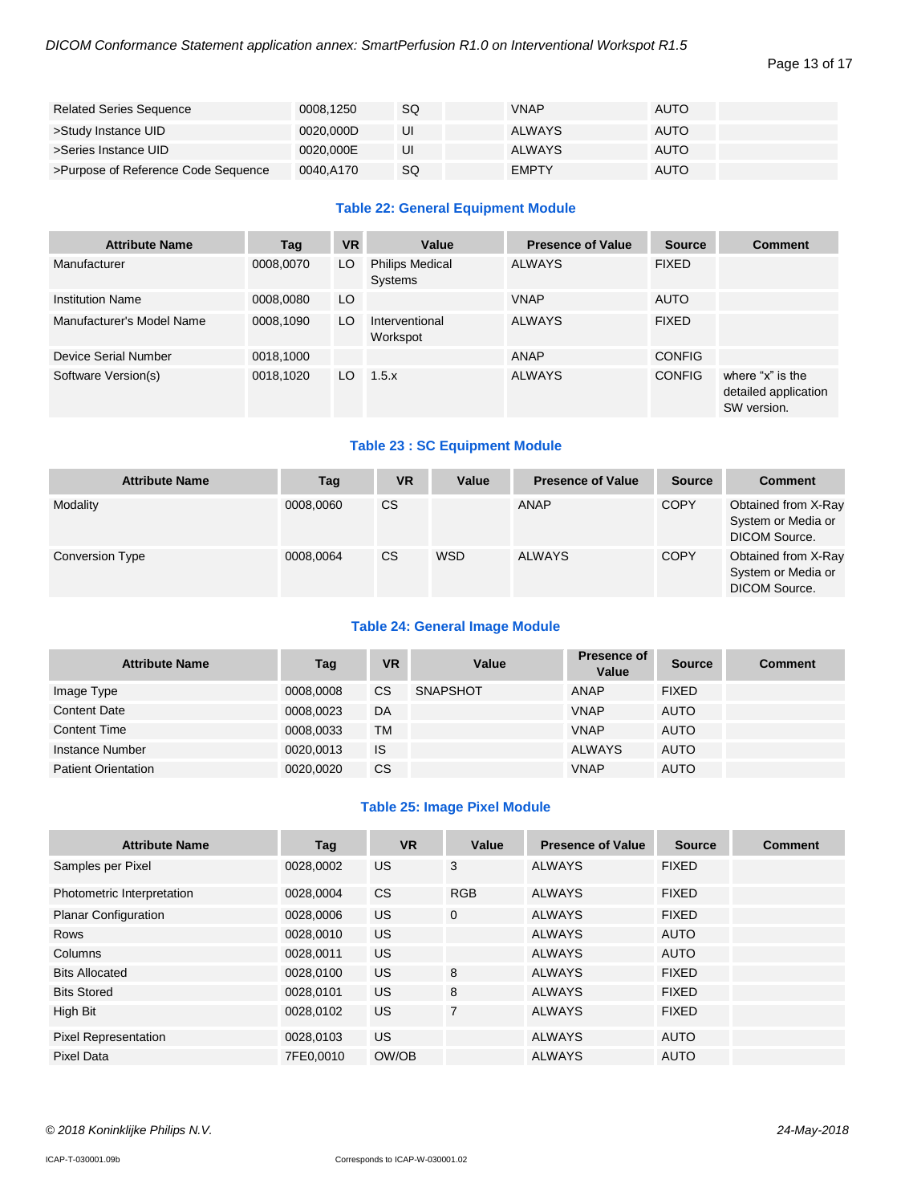#### Page 13 of 17

| <b>Related Series Sequence</b>      | 0008.1250 | SQ | <b>VNAP</b>  | <b>AUTO</b> |
|-------------------------------------|-----------|----|--------------|-------------|
| >Study Instance UID                 | 0020.000D | UI | ALWAYS       | <b>AUTO</b> |
| >Series Instance UID                | 0020.000E | UI | ALWAYS       | <b>AUTO</b> |
| >Purpose of Reference Code Sequence | 0040.A170 | SQ | <b>EMPTY</b> | <b>AUTO</b> |

#### **Table 22: General Equipment Module**

| <b>Attribute Name</b>     | Tag       | <b>VR</b> | Value                             | <b>Presence of Value</b> | <b>Source</b> | <b>Comment</b>                                          |
|---------------------------|-----------|-----------|-----------------------------------|--------------------------|---------------|---------------------------------------------------------|
| Manufacturer              | 0008,0070 | LO        | <b>Philips Medical</b><br>Systems | <b>ALWAYS</b>            | <b>FIXED</b>  |                                                         |
| <b>Institution Name</b>   | 0008,0080 | LO.       |                                   | <b>VNAP</b>              | <b>AUTO</b>   |                                                         |
| Manufacturer's Model Name | 0008,1090 | LO        | Interventional<br>Workspot        | <b>ALWAYS</b>            | <b>FIXED</b>  |                                                         |
| Device Serial Number      | 0018,1000 |           |                                   | <b>ANAP</b>              | <b>CONFIG</b> |                                                         |
| Software Version(s)       | 0018,1020 | LO.       | 1.5.x                             | <b>ALWAYS</b>            | <b>CONFIG</b> | where "x" is the<br>detailed application<br>SW version. |

#### **Table 23 : SC Equipment Module**

| <b>Attribute Name</b>  | Tag       | <b>VR</b> | Value      | <b>Presence of Value</b> | <b>Source</b> | <b>Comment</b>                                                    |
|------------------------|-----------|-----------|------------|--------------------------|---------------|-------------------------------------------------------------------|
| Modality               | 0008.0060 | <b>CS</b> |            | ANAP                     | <b>COPY</b>   | Obtained from X-Ray<br>System or Media or<br>DICOM Source.        |
| <b>Conversion Type</b> | 0008,0064 | <b>CS</b> | <b>WSD</b> | <b>ALWAYS</b>            | <b>COPY</b>   | Obtained from X-Ray<br>System or Media or<br><b>DICOM Source.</b> |

#### **Table 24: General Image Module**

| <b>Attribute Name</b>      | Tag       | <b>VR</b> | Value           | Presence of<br>Value | <b>Source</b> | <b>Comment</b> |
|----------------------------|-----------|-----------|-----------------|----------------------|---------------|----------------|
| Image Type                 | 0008.0008 | CS        | <b>SNAPSHOT</b> | <b>ANAP</b>          | <b>FIXED</b>  |                |
| <b>Content Date</b>        | 0008.0023 | DA        |                 | <b>VNAP</b>          | <b>AUTO</b>   |                |
| <b>Content Time</b>        | 0008.0033 | ТM        |                 | <b>VNAP</b>          | <b>AUTO</b>   |                |
| Instance Number            | 0020.0013 | IS        |                 | <b>ALWAYS</b>        | <b>AUTO</b>   |                |
| <b>Patient Orientation</b> | 0020.0020 | <b>CS</b> |                 | <b>VNAP</b>          | <b>AUTO</b>   |                |

#### **Table 25: Image Pixel Module**

| <b>Attribute Name</b>       | Tag       | <b>VR</b> | Value          | <b>Presence of Value</b> | <b>Source</b> | <b>Comment</b> |
|-----------------------------|-----------|-----------|----------------|--------------------------|---------------|----------------|
| Samples per Pixel           | 0028,0002 | US        | 3              | <b>ALWAYS</b>            | <b>FIXED</b>  |                |
| Photometric Interpretation  | 0028,0004 | <b>CS</b> | <b>RGB</b>     | <b>ALWAYS</b>            | <b>FIXED</b>  |                |
| <b>Planar Configuration</b> | 0028,0006 | <b>US</b> | $\mathbf{0}$   | <b>ALWAYS</b>            | <b>FIXED</b>  |                |
| <b>Rows</b>                 | 0028,0010 | <b>US</b> |                | <b>ALWAYS</b>            | <b>AUTO</b>   |                |
| Columns                     | 0028,0011 | US.       |                | <b>ALWAYS</b>            | <b>AUTO</b>   |                |
| <b>Bits Allocated</b>       | 0028,0100 | US.       | 8              | <b>ALWAYS</b>            | <b>FIXED</b>  |                |
| <b>Bits Stored</b>          | 0028,0101 | <b>US</b> | 8              | <b>ALWAYS</b>            | <b>FIXED</b>  |                |
| High Bit                    | 0028,0102 | <b>US</b> | $\overline{7}$ | <b>ALWAYS</b>            | <b>FIXED</b>  |                |
| <b>Pixel Representation</b> | 0028,0103 | US.       |                | <b>ALWAYS</b>            | <b>AUTO</b>   |                |
| Pixel Data                  | 7FE0.0010 | OW/OB     |                | <b>ALWAYS</b>            | <b>AUTO</b>   |                |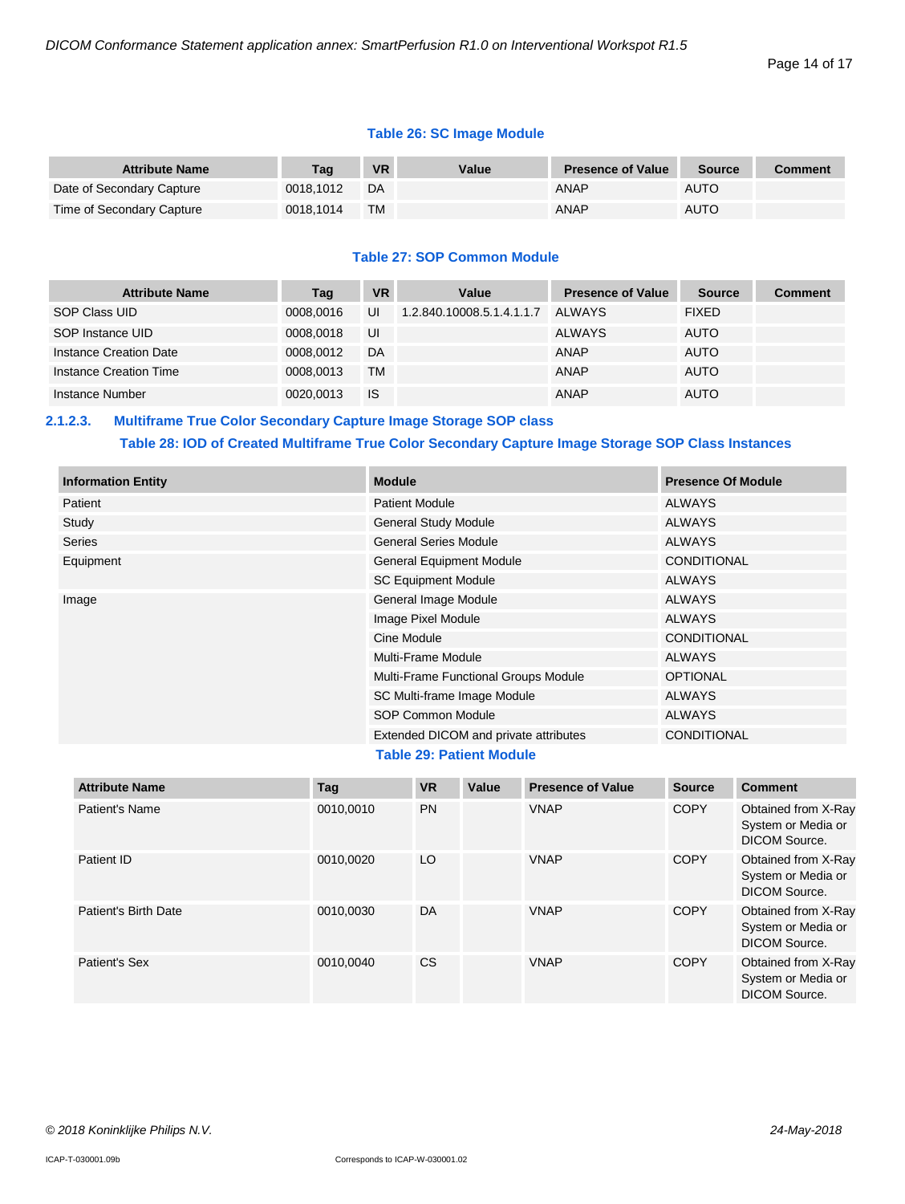#### **Table 26: SC Image Module**

| <b>Attribute Name</b>     | Taɑ       | <b>VR</b> | Value | <b>Presence of Value</b> | <b>Source</b> | Comment |
|---------------------------|-----------|-----------|-------|--------------------------|---------------|---------|
| Date of Secondary Capture | 0018.1012 | DA        |       | <b>ANAP</b>              | <b>AUTO</b>   |         |
| Time of Secondary Capture | 0018.1014 | <b>TM</b> |       | <b>ANAP</b>              | <b>AUTO</b>   |         |

#### **Table 27: SOP Common Module**

| <b>Attribute Name</b>  | Tag       | VR.       | Value                     | <b>Presence of Value</b> | <b>Source</b> | <b>Comment</b> |
|------------------------|-----------|-----------|---------------------------|--------------------------|---------------|----------------|
| SOP Class UID          | 0008.0016 | UI        | 1.2.840.10008.5.1.4.1.1.7 | ALWAYS                   | <b>FIXED</b>  |                |
| SOP Instance UID       | 0008.0018 | UI        |                           | ALWAYS                   | <b>AUTO</b>   |                |
| Instance Creation Date | 0008.0012 | DA        |                           | ANAP                     | <b>AUTO</b>   |                |
| Instance Creation Time | 0008.0013 | <b>TM</b> |                           | ANAP                     | <b>AUTO</b>   |                |
| Instance Number        | 0020.0013 | <b>IS</b> |                           | ANAP                     | <b>AUTO</b>   |                |

#### <span id="page-13-0"></span>**2.1.2.3. Multiframe True Color Secondary Capture Image Storage SOP class**

#### **Table 28: IOD of Created Multiframe True Color Secondary Capture Image Storage SOP Class Instances**

| <b>Information Entity</b> | <b>Module</b>                         | <b>Presence Of Module</b> |
|---------------------------|---------------------------------------|---------------------------|
| Patient                   | <b>Patient Module</b>                 | <b>ALWAYS</b>             |
| Study                     | <b>General Study Module</b>           | <b>ALWAYS</b>             |
| <b>Series</b>             | <b>General Series Module</b>          | <b>ALWAYS</b>             |
| Equipment                 | <b>General Equipment Module</b>       | <b>CONDITIONAL</b>        |
|                           | <b>SC Equipment Module</b>            | <b>ALWAYS</b>             |
| Image                     | General Image Module                  | <b>ALWAYS</b>             |
|                           | Image Pixel Module                    | <b>ALWAYS</b>             |
|                           | Cine Module                           | <b>CONDITIONAL</b>        |
|                           | Multi-Frame Module                    | <b>ALWAYS</b>             |
|                           | Multi-Frame Functional Groups Module  | <b>OPTIONAL</b>           |
|                           | SC Multi-frame Image Module           | <b>ALWAYS</b>             |
|                           | SOP Common Module                     | <b>ALWAYS</b>             |
|                           | Extended DICOM and private attributes | <b>CONDITIONAL</b>        |

#### **Table 29: Patient Module**

| <b>Attribute Name</b> | Tag       | <b>VR</b> | Value | <b>Presence of Value</b> | <b>Source</b> | <b>Comment</b>                                                    |
|-----------------------|-----------|-----------|-------|--------------------------|---------------|-------------------------------------------------------------------|
| Patient's Name        | 0010,0010 | <b>PN</b> |       | <b>VNAP</b>              | <b>COPY</b>   | Obtained from X-Ray<br>System or Media or<br>DICOM Source.        |
| Patient ID            | 0010.0020 | LO        |       | <b>VNAP</b>              | <b>COPY</b>   | Obtained from X-Ray<br>System or Media or<br>DICOM Source.        |
| Patient's Birth Date  | 0010,0030 | DA        |       | <b>VNAP</b>              | <b>COPY</b>   | Obtained from X-Ray<br>System or Media or<br>DICOM Source.        |
| Patient's Sex         | 0010.0040 | CS.       |       | <b>VNAP</b>              | <b>COPY</b>   | Obtained from X-Ray<br>System or Media or<br><b>DICOM Source.</b> |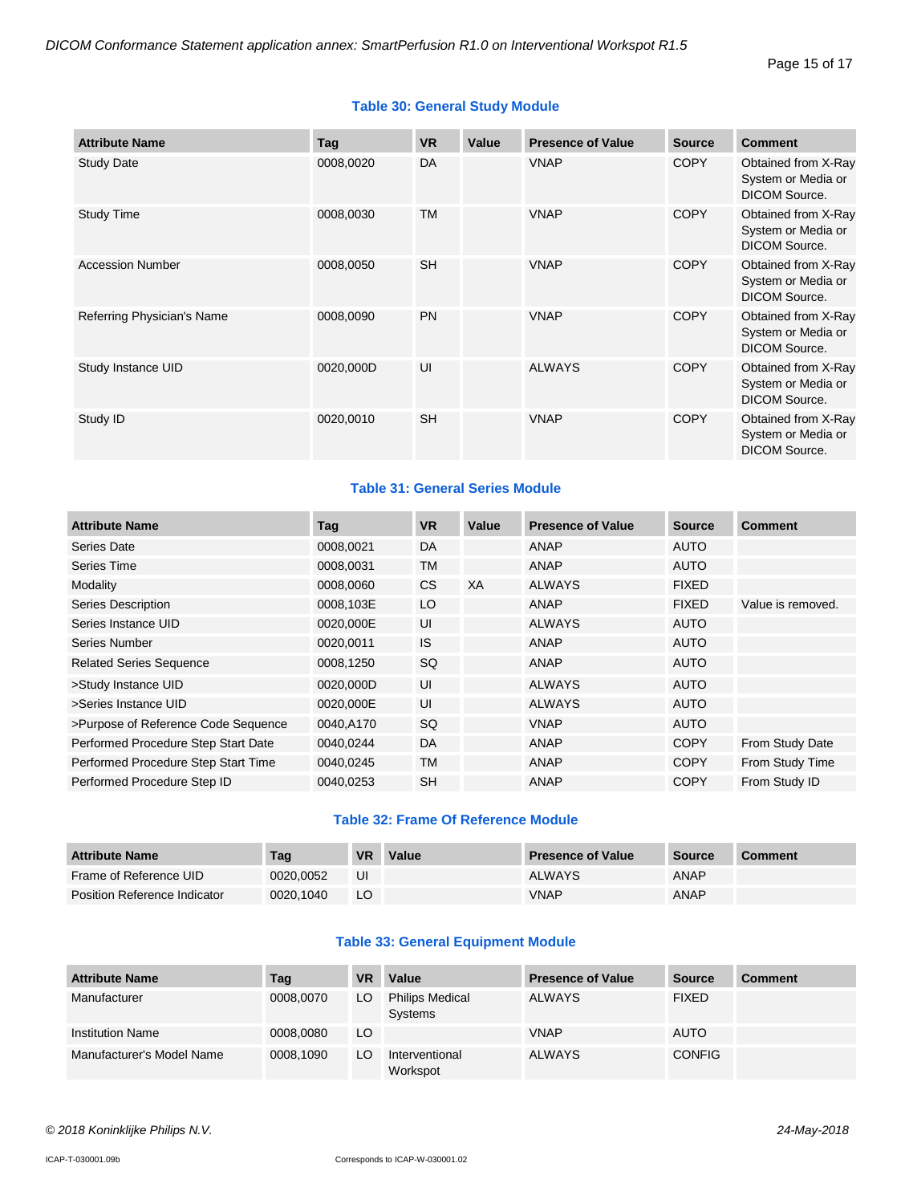| <b>Attribute Name</b>      | Tag       | <b>VR</b> | Value | <b>Presence of Value</b> | <b>Source</b> | <b>Comment</b>                                                    |
|----------------------------|-----------|-----------|-------|--------------------------|---------------|-------------------------------------------------------------------|
| <b>Study Date</b>          | 0008,0020 | DA        |       | <b>VNAP</b>              | <b>COPY</b>   | Obtained from X-Ray<br>System or Media or<br>DICOM Source.        |
| <b>Study Time</b>          | 0008,0030 | <b>TM</b> |       | <b>VNAP</b>              | <b>COPY</b>   | Obtained from X-Ray<br>System or Media or<br><b>DICOM Source.</b> |
| <b>Accession Number</b>    | 0008,0050 | <b>SH</b> |       | <b>VNAP</b>              | <b>COPY</b>   | Obtained from X-Ray<br>System or Media or<br><b>DICOM Source.</b> |
| Referring Physician's Name | 0008,0090 | <b>PN</b> |       | <b>VNAP</b>              | <b>COPY</b>   | Obtained from X-Ray<br>System or Media or<br><b>DICOM Source.</b> |
| Study Instance UID         | 0020,000D | UI        |       | <b>ALWAYS</b>            | <b>COPY</b>   | Obtained from X-Ray<br>System or Media or<br><b>DICOM Source.</b> |
| Study ID                   | 0020,0010 | <b>SH</b> |       | <b>VNAP</b>              | <b>COPY</b>   | Obtained from X-Ray<br>System or Media or<br>DICOM Source.        |

#### **Table 31: General Series Module**

| <b>Attribute Name</b>               | Tag       | <b>VR</b> | Value | <b>Presence of Value</b> | <b>Source</b> | <b>Comment</b>    |
|-------------------------------------|-----------|-----------|-------|--------------------------|---------------|-------------------|
| Series Date                         | 0008,0021 | DA        |       | ANAP                     | <b>AUTO</b>   |                   |
| Series Time                         | 0008,0031 | TM        |       | <b>ANAP</b>              | <b>AUTO</b>   |                   |
| Modality                            | 0008,0060 | CS.       | XA    | <b>ALWAYS</b>            | <b>FIXED</b>  |                   |
| Series Description                  | 0008,103E | LO        |       | ANAP                     | <b>FIXED</b>  | Value is removed. |
| Series Instance UID                 | 0020,000E | UI        |       | <b>ALWAYS</b>            | <b>AUTO</b>   |                   |
| Series Number                       | 0020,0011 | <b>IS</b> |       | ANAP                     | <b>AUTO</b>   |                   |
| <b>Related Series Sequence</b>      | 0008,1250 | SQ        |       | ANAP                     | <b>AUTO</b>   |                   |
| >Study Instance UID                 | 0020,000D | UI        |       | <b>ALWAYS</b>            | <b>AUTO</b>   |                   |
| >Series Instance UID                | 0020,000E | UI        |       | <b>ALWAYS</b>            | <b>AUTO</b>   |                   |
| >Purpose of Reference Code Sequence | 0040,A170 | SQ        |       | <b>VNAP</b>              | <b>AUTO</b>   |                   |
| Performed Procedure Step Start Date | 0040,0244 | DA        |       | ANAP                     | <b>COPY</b>   | From Study Date   |
| Performed Procedure Step Start Time | 0040,0245 | TM        |       | ANAP                     | <b>COPY</b>   | From Study Time   |
| Performed Procedure Step ID         | 0040,0253 | SH        |       | <b>ANAP</b>              | <b>COPY</b>   | From Study ID     |

#### **Table 32: Frame Of Reference Module**

| <b>Attribute Name</b>               | Tag       | <b>VR</b> | Value | <b>Presence of Value</b> | Source      | <b>Comment</b> |
|-------------------------------------|-----------|-----------|-------|--------------------------|-------------|----------------|
| Frame of Reference UID              | 0020.0052 | UI        |       | <b>ALWAYS</b>            | ANAP        |                |
| <b>Position Reference Indicator</b> | 0020.1040 | LO        |       | <b>VNAP</b>              | <b>ANAP</b> |                |

#### **Table 33: General Equipment Module**

| <b>Attribute Name</b>     | Tag       | <b>VR</b> | Value                                    | <b>Presence of Value</b> | <b>Source</b> | <b>Comment</b> |
|---------------------------|-----------|-----------|------------------------------------------|--------------------------|---------------|----------------|
| Manufacturer              | 0008,0070 | LO        | <b>Philips Medical</b><br><b>Systems</b> | <b>ALWAYS</b>            | <b>FIXED</b>  |                |
| <b>Institution Name</b>   | 0008.0080 | LO        |                                          | <b>VNAP</b>              | <b>AUTO</b>   |                |
| Manufacturer's Model Name | 0008.1090 | LO        | Interventional<br>Workspot               | <b>ALWAYS</b>            | <b>CONFIG</b> |                |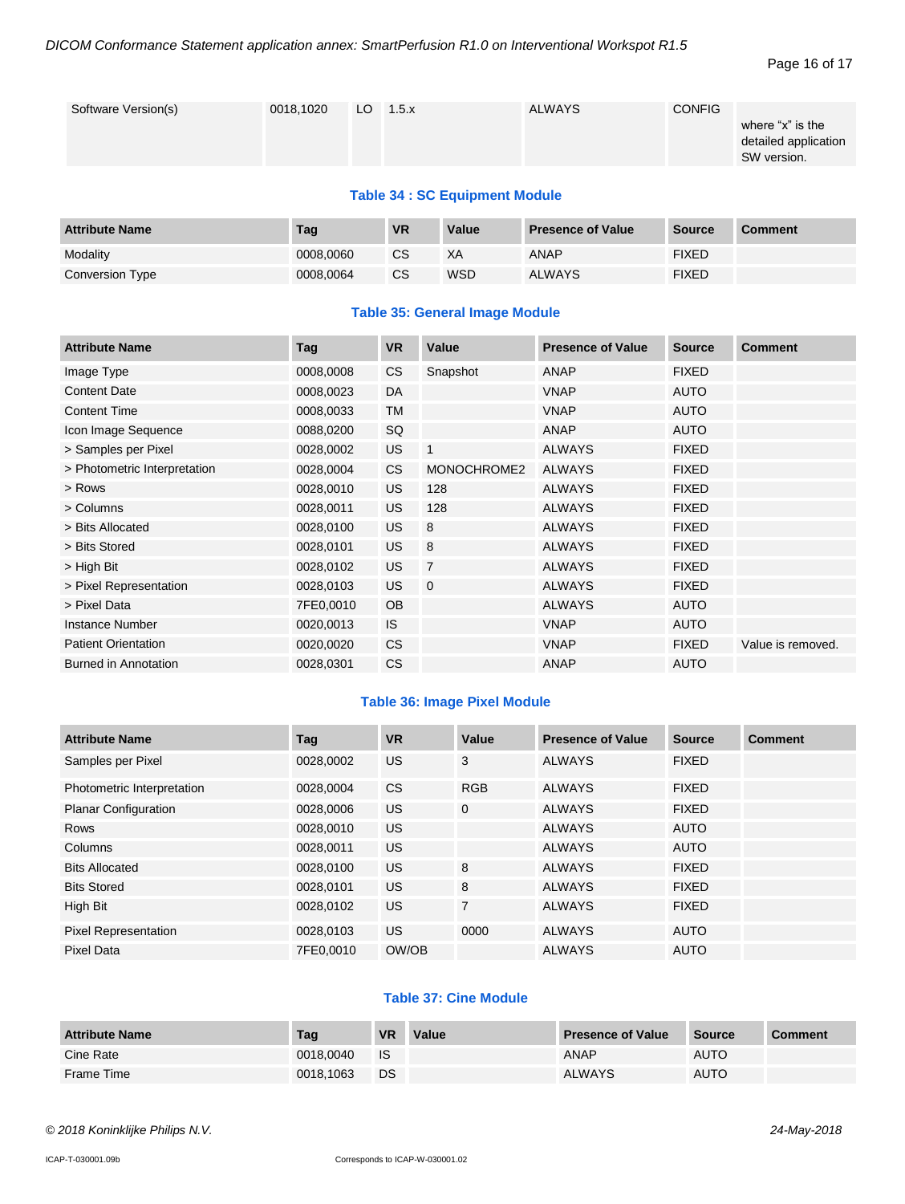#### Page 16 of 17

| <b>ALWAYS</b><br><b>CONFIG</b><br>Software Version(s)<br>0018,1020<br>$LO$ 1.5. $x$<br>SW version. | where "x" is the<br>detailed application |
|----------------------------------------------------------------------------------------------------|------------------------------------------|
|----------------------------------------------------------------------------------------------------|------------------------------------------|

#### **Table 34 : SC Equipment Module**

| <b>Attribute Name</b> | Tag       | <b>VR</b>     | Value      | <b>Presence of Value</b> | <b>Source</b> | <b>Comment</b> |
|-----------------------|-----------|---------------|------------|--------------------------|---------------|----------------|
| Modality              | 0008,0060 | CS            | XA         | ANAP                     | <b>FIXED</b>  |                |
| Conversion Type       | 0008.0064 | <sub>CS</sub> | <b>WSD</b> | <b>ALWAYS</b>            | <b>FIXED</b>  |                |

#### **Table 35: General Image Module**

| <b>Attribute Name</b>        | Tag       | <b>VR</b> | Value          | <b>Presence of Value</b> | <b>Source</b> | <b>Comment</b>    |
|------------------------------|-----------|-----------|----------------|--------------------------|---------------|-------------------|
| Image Type                   | 0008,0008 | CS        | Snapshot       | ANAP                     | <b>FIXED</b>  |                   |
| <b>Content Date</b>          | 0008,0023 | DA        |                | <b>VNAP</b>              | <b>AUTO</b>   |                   |
| <b>Content Time</b>          | 0008,0033 | TM        |                | <b>VNAP</b>              | AUTO          |                   |
| Icon Image Sequence          | 0088,0200 | SQ        |                | <b>ANAP</b>              | <b>AUTO</b>   |                   |
| > Samples per Pixel          | 0028,0002 | <b>US</b> | $\overline{1}$ | <b>ALWAYS</b>            | <b>FIXED</b>  |                   |
| > Photometric Interpretation | 0028,0004 | CS        | MONOCHROME2    | <b>ALWAYS</b>            | <b>FIXED</b>  |                   |
| > Rows                       | 0028,0010 | <b>US</b> | 128            | <b>ALWAYS</b>            | <b>FIXED</b>  |                   |
| > Columns                    | 0028,0011 | <b>US</b> | 128            | <b>ALWAYS</b>            | <b>FIXED</b>  |                   |
| > Bits Allocated             | 0028,0100 | <b>US</b> | 8              | <b>ALWAYS</b>            | <b>FIXED</b>  |                   |
| > Bits Stored                | 0028,0101 | <b>US</b> | 8              | <b>ALWAYS</b>            | <b>FIXED</b>  |                   |
| > High Bit                   | 0028,0102 | <b>US</b> | $\overline{7}$ | <b>ALWAYS</b>            | <b>FIXED</b>  |                   |
| > Pixel Representation       | 0028,0103 | <b>US</b> | $\overline{0}$ | <b>ALWAYS</b>            | <b>FIXED</b>  |                   |
| > Pixel Data                 | 7FE0,0010 | <b>OB</b> |                | <b>ALWAYS</b>            | <b>AUTO</b>   |                   |
| <b>Instance Number</b>       | 0020,0013 | IS.       |                | <b>VNAP</b>              | <b>AUTO</b>   |                   |
| <b>Patient Orientation</b>   | 0020,0020 | <b>CS</b> |                | <b>VNAP</b>              | <b>FIXED</b>  | Value is removed. |
| Burned in Annotation         | 0028,0301 | <b>CS</b> |                | ANAP                     | <b>AUTO</b>   |                   |

#### **Table 36: Image Pixel Module**

| <b>Attribute Name</b>       | Tag       | <b>VR</b> | Value          | <b>Presence of Value</b> | <b>Source</b> | <b>Comment</b> |
|-----------------------------|-----------|-----------|----------------|--------------------------|---------------|----------------|
| Samples per Pixel           | 0028,0002 | <b>US</b> | 3              | <b>ALWAYS</b>            | <b>FIXED</b>  |                |
| Photometric Interpretation  | 0028,0004 | <b>CS</b> | <b>RGB</b>     | <b>ALWAYS</b>            | <b>FIXED</b>  |                |
| <b>Planar Configuration</b> | 0028,0006 | <b>US</b> | $\mathbf 0$    | <b>ALWAYS</b>            | <b>FIXED</b>  |                |
| <b>Rows</b>                 | 0028,0010 | US.       |                | <b>ALWAYS</b>            | <b>AUTO</b>   |                |
| Columns                     | 0028,0011 | US.       |                | <b>ALWAYS</b>            | <b>AUTO</b>   |                |
| <b>Bits Allocated</b>       | 0028.0100 | <b>US</b> | 8              | <b>ALWAYS</b>            | <b>FIXED</b>  |                |
| <b>Bits Stored</b>          | 0028.0101 | <b>US</b> | 8              | <b>ALWAYS</b>            | <b>FIXED</b>  |                |
| High Bit                    | 0028.0102 | <b>US</b> | $\overline{7}$ | <b>ALWAYS</b>            | <b>FIXED</b>  |                |
| <b>Pixel Representation</b> | 0028.0103 | <b>US</b> | 0000           | <b>ALWAYS</b>            | <b>AUTO</b>   |                |
| Pixel Data                  | 7FE0,0010 | OW/OB     |                | <b>ALWAYS</b>            | <b>AUTO</b>   |                |

#### **Table 37: Cine Module**

| <b>Attribute Name</b> | Tag       | <b>VR</b> | Value | <b>Presence of Value</b> | <b>Source</b> | <b>Comment</b> |
|-----------------------|-----------|-----------|-------|--------------------------|---------------|----------------|
| Cine Rate             | 0018.0040 | <b>IS</b> |       | ANAP                     | AUTO          |                |
| Frame Time            | 0018.1063 | <b>DS</b> |       | <b>ALWAYS</b>            | <b>AUTO</b>   |                |